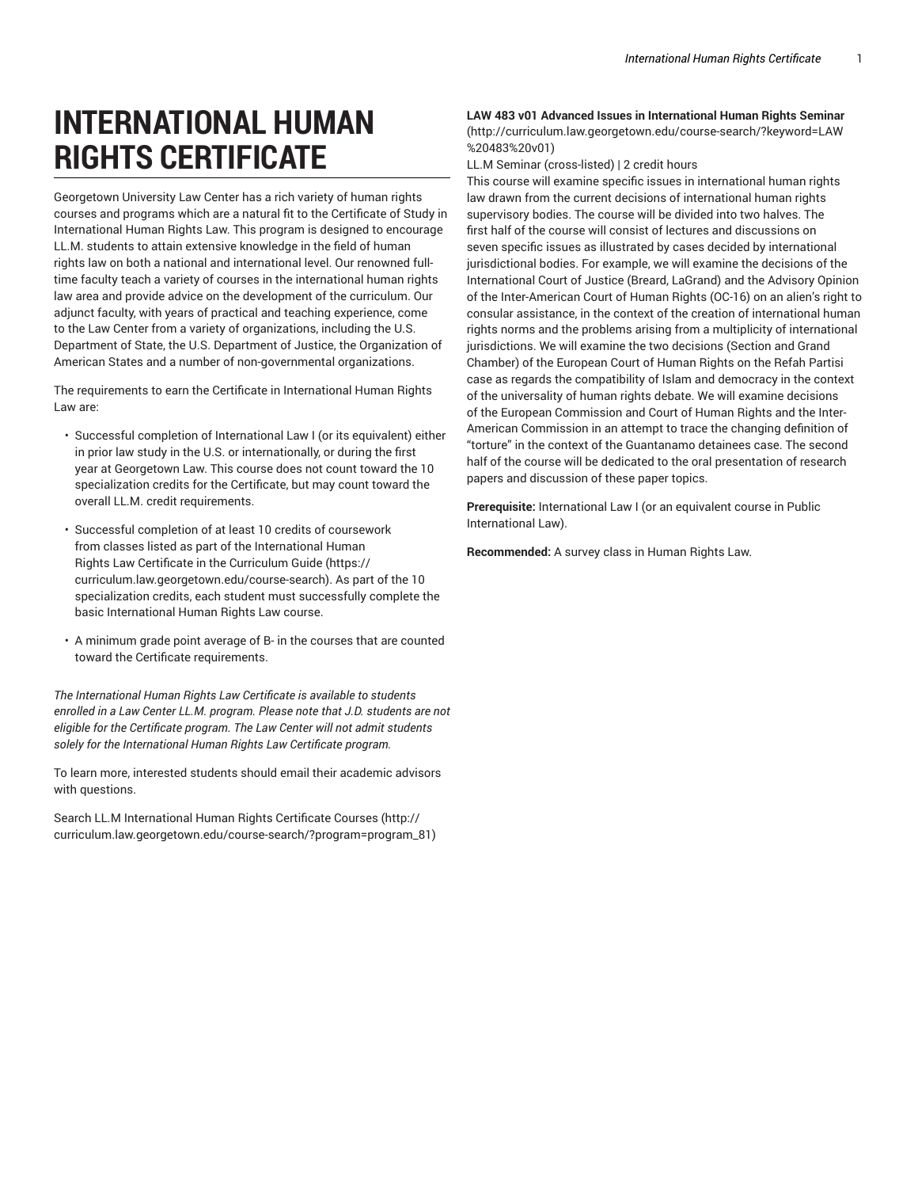# **INTERNATIONAL HUMAN RIGHTS CERTIFICATE**

Georgetown University Law Center has a rich variety of human rights courses and programs which are a natural fit to the Certificate of Study in International Human Rights Law. This program is designed to encourage LL.M. students to attain extensive knowledge in the field of human rights law on both a national and international level. Our renowned fulltime faculty teach a variety of courses in the international human rights law area and provide advice on the development of the curriculum. Our adjunct faculty, with years of practical and teaching experience, come to the Law Center from a variety of organizations, including the U.S. Department of State, the U.S. Department of Justice, the Organization of American States and a number of non-governmental organizations.

The requirements to earn the Certificate in International Human Rights Law are:

- Successful completion of International Law I (or its equivalent) either in prior law study in the U.S. or internationally, or during the first year at Georgetown Law. This course does not count toward the 10 specialization credits for the Certificate, but may count toward the overall LL.M. credit requirements.
- Successful completion of at least 10 credits of coursework from classes listed as part of the International Human Rights Law Certificate in the Curriculum Guide (https:// curriculum.law.georgetown.edu/course-search). As part of the 10 specialization credits, each student must successfully complete the basic International Human Rights Law course.
- A minimum grade point average of B- in the courses that are counted toward the Certificate requirements.

*The International Human Rights Law Certificate is available to students enrolled in a Law Center LL.M. program. Please note that J.D. students are not eligible for the Certificate program. The Law Center will not admit students solely for the International Human Rights Law Certificate program.*

To learn more, interested students should email their academic advisors with questions.

Search LL.M International Human Rights Certificate Courses (http:// curriculum.law.georgetown.edu/course-search/?program=program\_81)

## **LAW 483 v01 Advanced Issues in International Human Rights Seminar** (http://curriculum.law.georgetown.edu/course-search/?keyword=LAW %20483%20v01)

LL.M Seminar (cross-listed) | 2 credit hours

This course will examine specific issues in international human rights law drawn from the current decisions of international human rights supervisory bodies. The course will be divided into two halves. The first half of the course will consist of lectures and discussions on seven specific issues as illustrated by cases decided by international jurisdictional bodies. For example, we will examine the decisions of the International Court of Justice (Breard, LaGrand) and the Advisory Opinion of the Inter-American Court of Human Rights (OC-16) on an alien's right to consular assistance, in the context of the creation of international human rights norms and the problems arising from a multiplicity of international jurisdictions. We will examine the two decisions (Section and Grand Chamber) of the European Court of Human Rights on the Refah Partisi case as regards the compatibility of Islam and democracy in the context of the universality of human rights debate. We will examine decisions of the European Commission and Court of Human Rights and the Inter-American Commission in an attempt to trace the changing definition of "torture" in the context of the Guantanamo detainees case. The second half of the course will be dedicated to the oral presentation of research papers and discussion of these paper topics.

**Prerequisite:** International Law I (or an equivalent course in Public International Law).

**Recommended:** A survey class in Human Rights Law.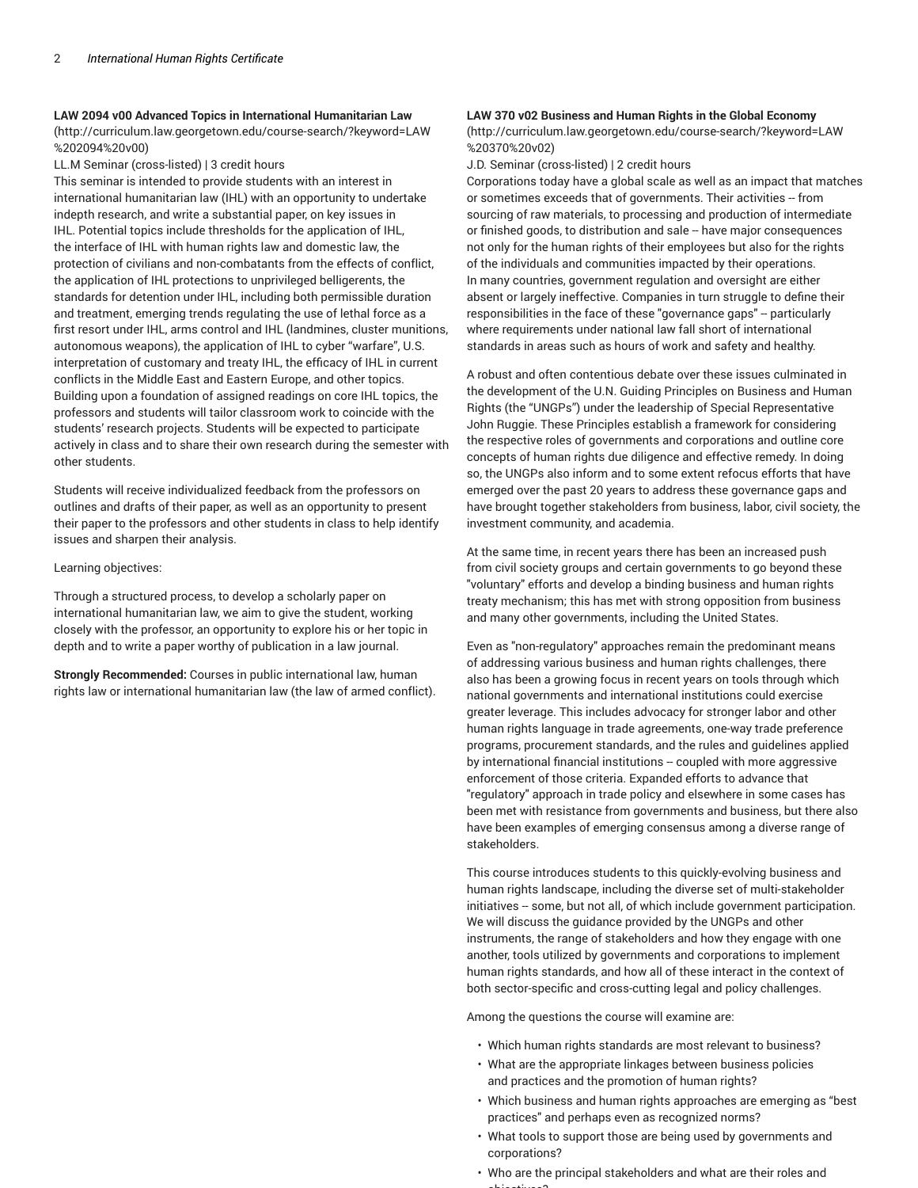#### **LAW 2094 v00 Advanced Topics in International Humanitarian Law**

(http://curriculum.law.georgetown.edu/course-search/?keyword=LAW %202094%20v00)

LL.M Seminar (cross-listed) | 3 credit hours

This seminar is intended to provide students with an interest in international humanitarian law (IHL) with an opportunity to undertake indepth research, and write a substantial paper, on key issues in IHL. Potential topics include thresholds for the application of IHL, the interface of IHL with human rights law and domestic law, the protection of civilians and non-combatants from the effects of conflict, the application of IHL protections to unprivileged belligerents, the standards for detention under IHL, including both permissible duration and treatment, emerging trends regulating the use of lethal force as a first resort under IHL, arms control and IHL (landmines, cluster munitions, autonomous weapons), the application of IHL to cyber "warfare", U.S. interpretation of customary and treaty IHL, the efficacy of IHL in current conflicts in the Middle East and Eastern Europe, and other topics. Building upon a foundation of assigned readings on core IHL topics, the professors and students will tailor classroom work to coincide with the students' research projects. Students will be expected to participate actively in class and to share their own research during the semester with other students.

Students will receive individualized feedback from the professors on outlines and drafts of their paper, as well as an opportunity to present their paper to the professors and other students in class to help identify issues and sharpen their analysis.

#### Learning objectives:

Through a structured process, to develop a scholarly paper on international humanitarian law, we aim to give the student, working closely with the professor, an opportunity to explore his or her topic in depth and to write a paper worthy of publication in a law journal.

**Strongly Recommended:** Courses in public international law, human rights law or international humanitarian law (the law of armed conflict).

#### **LAW 370 v02 Business and Human Rights in the Global Economy**

(http://curriculum.law.georgetown.edu/course-search/?keyword=LAW %20370%20v02)

J.D. Seminar (cross-listed) | 2 credit hours

Corporations today have a global scale as well as an impact that matches or sometimes exceeds that of governments. Their activities -- from sourcing of raw materials, to processing and production of intermediate or finished goods, to distribution and sale -- have major consequences not only for the human rights of their employees but also for the rights of the individuals and communities impacted by their operations. In many countries, government regulation and oversight are either absent or largely ineffective. Companies in turn struggle to define their responsibilities in the face of these "governance gaps" -- particularly where requirements under national law fall short of international standards in areas such as hours of work and safety and healthy.

A robust and often contentious debate over these issues culminated in the development of the U.N. Guiding Principles on Business and Human Rights (the "UNGPs") under the leadership of Special Representative John Ruggie. These Principles establish a framework for considering the respective roles of governments and corporations and outline core concepts of human rights due diligence and effective remedy. In doing so, the UNGPs also inform and to some extent refocus efforts that have emerged over the past 20 years to address these governance gaps and have brought together stakeholders from business, labor, civil society, the investment community, and academia.

At the same time, in recent years there has been an increased push from civil society groups and certain governments to go beyond these "voluntary" efforts and develop a binding business and human rights treaty mechanism; this has met with strong opposition from business and many other governments, including the United States.

Even as "non-regulatory" approaches remain the predominant means of addressing various business and human rights challenges, there also has been a growing focus in recent years on tools through which national governments and international institutions could exercise greater leverage. This includes advocacy for stronger labor and other human rights language in trade agreements, one-way trade preference programs, procurement standards, and the rules and guidelines applied by international financial institutions -- coupled with more aggressive enforcement of those criteria. Expanded efforts to advance that "regulatory" approach in trade policy and elsewhere in some cases has been met with resistance from governments and business, but there also have been examples of emerging consensus among a diverse range of stakeholders.

This course introduces students to this quickly-evolving business and human rights landscape, including the diverse set of multi-stakeholder initiatives -- some, but not all, of which include government participation. We will discuss the guidance provided by the UNGPs and other instruments, the range of stakeholders and how they engage with one another, tools utilized by governments and corporations to implement human rights standards, and how all of these interact in the context of both sector-specific and cross-cutting legal and policy challenges.

Among the questions the course will examine are:

- Which human rights standards are most relevant to business?
- What are the appropriate linkages between business policies and practices and the promotion of human rights?
- Which business and human rights approaches are emerging as "best practices" and perhaps even as recognized norms?
- What tools to support those are being used by governments and corporations?
- Who are the principal stakeholders and what are their roles and objectives?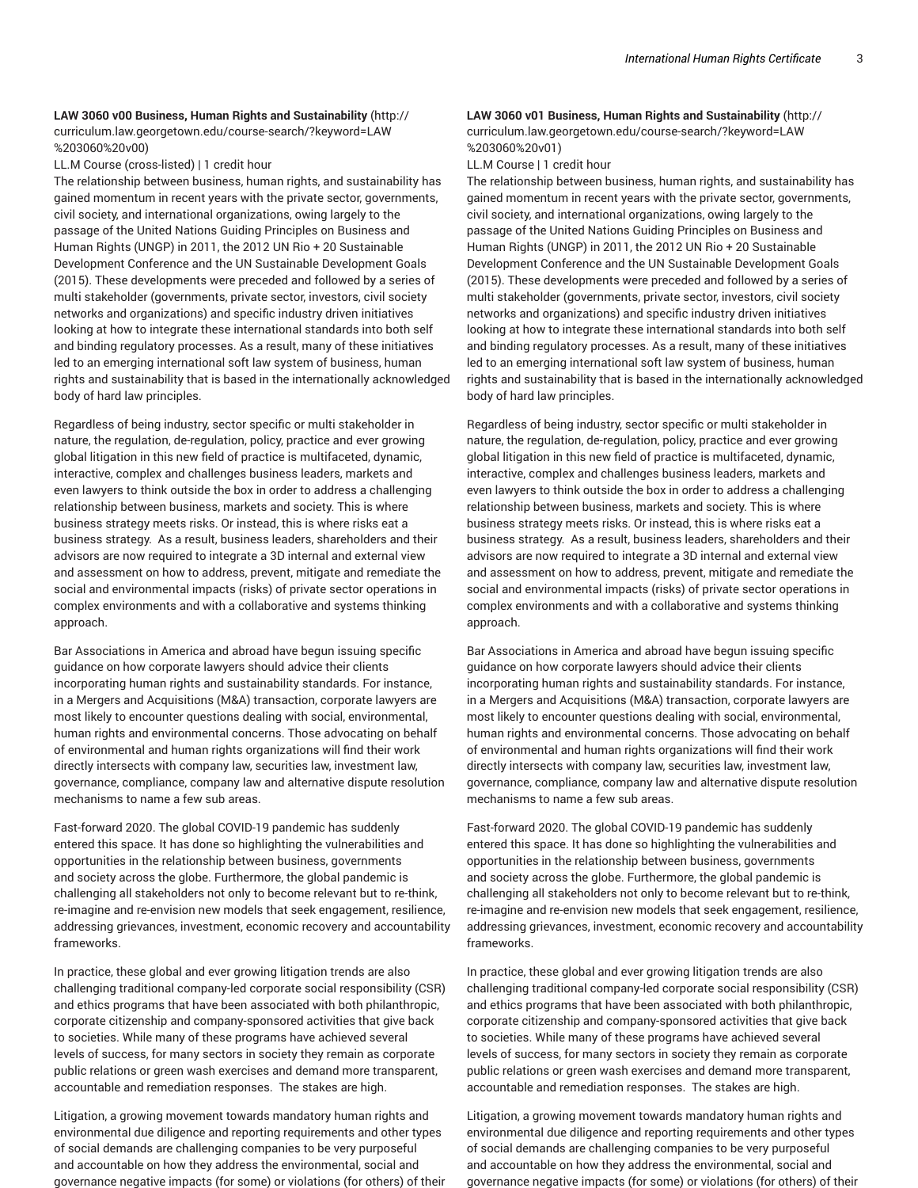# **LAW 3060 v00 Business, Human Rights and Sustainability** (http:// curriculum.law.georgetown.edu/course-search/?keyword=LAW %203060%20v00)

LL.M Course (cross-listed) | 1 credit hour

The relationship between business, human rights, and sustainability has gained momentum in recent years with the private sector, governments, civil society, and international organizations, owing largely to the passage of the United Nations Guiding Principles on Business and Human Rights (UNGP) in 2011, the 2012 UN Rio + 20 Sustainable Development Conference and the UN Sustainable Development Goals (2015). These developments were preceded and followed by a series of multi stakeholder (governments, private sector, investors, civil society networks and organizations) and specific industry driven initiatives looking at how to integrate these international standards into both self and binding regulatory processes. As a result, many of these initiatives led to an emerging international soft law system of business, human rights and sustainability that is based in the internationally acknowledged body of hard law principles.

Regardless of being industry, sector specific or multi stakeholder in nature, the regulation, de-regulation, policy, practice and ever growing global litigation in this new field of practice is multifaceted, dynamic, interactive, complex and challenges business leaders, markets and even lawyers to think outside the box in order to address a challenging relationship between business, markets and society. This is where business strategy meets risks. Or instead, this is where risks eat a business strategy. As a result, business leaders, shareholders and their advisors are now required to integrate a 3D internal and external view and assessment on how to address, prevent, mitigate and remediate the social and environmental impacts (risks) of private sector operations in complex environments and with a collaborative and systems thinking approach.

Bar Associations in America and abroad have begun issuing specific guidance on how corporate lawyers should advice their clients incorporating human rights and sustainability standards. For instance, in a Mergers and Acquisitions (M&A) transaction, corporate lawyers are most likely to encounter questions dealing with social, environmental, human rights and environmental concerns. Those advocating on behalf of environmental and human rights organizations will find their work directly intersects with company law, securities law, investment law, governance, compliance, company law and alternative dispute resolution mechanisms to name a few sub areas.

Fast-forward 2020. The global COVID-19 pandemic has suddenly entered this space. It has done so highlighting the vulnerabilities and opportunities in the relationship between business, governments and society across the globe. Furthermore, the global pandemic is challenging all stakeholders not only to become relevant but to re-think, re-imagine and re-envision new models that seek engagement, resilience, addressing grievances, investment, economic recovery and accountability frameworks.

In practice, these global and ever growing litigation trends are also challenging traditional company-led corporate social responsibility (CSR) and ethics programs that have been associated with both philanthropic, corporate citizenship and company-sponsored activities that give back to societies. While many of these programs have achieved several levels of success, for many sectors in society they remain as corporate public relations or green wash exercises and demand more transparent, accountable and remediation responses. The stakes are high.

Litigation, a growing movement towards mandatory human rights and environmental due diligence and reporting requirements and other types of social demands are challenging companies to be very purposeful and accountable on how they address the environmental, social and governance negative impacts (for some) or violations (for others) of their

# **LAW 3060 v01 Business, Human Rights and Sustainability** (http:// curriculum.law.georgetown.edu/course-search/?keyword=LAW %203060%20v01)

LL.M Course | 1 credit hour

The relationship between business, human rights, and sustainability has gained momentum in recent years with the private sector, governments, civil society, and international organizations, owing largely to the passage of the United Nations Guiding Principles on Business and Human Rights (UNGP) in 2011, the 2012 UN Rio + 20 Sustainable Development Conference and the UN Sustainable Development Goals (2015). These developments were preceded and followed by a series of multi stakeholder (governments, private sector, investors, civil society networks and organizations) and specific industry driven initiatives looking at how to integrate these international standards into both self and binding regulatory processes. As a result, many of these initiatives led to an emerging international soft law system of business, human rights and sustainability that is based in the internationally acknowledged body of hard law principles.

Regardless of being industry, sector specific or multi stakeholder in nature, the regulation, de-regulation, policy, practice and ever growing global litigation in this new field of practice is multifaceted, dynamic, interactive, complex and challenges business leaders, markets and even lawyers to think outside the box in order to address a challenging relationship between business, markets and society. This is where business strategy meets risks. Or instead, this is where risks eat a business strategy. As a result, business leaders, shareholders and their advisors are now required to integrate a 3D internal and external view and assessment on how to address, prevent, mitigate and remediate the social and environmental impacts (risks) of private sector operations in complex environments and with a collaborative and systems thinking approach.

Bar Associations in America and abroad have begun issuing specific guidance on how corporate lawyers should advice their clients incorporating human rights and sustainability standards. For instance, in a Mergers and Acquisitions (M&A) transaction, corporate lawyers are most likely to encounter questions dealing with social, environmental, human rights and environmental concerns. Those advocating on behalf of environmental and human rights organizations will find their work directly intersects with company law, securities law, investment law, governance, compliance, company law and alternative dispute resolution mechanisms to name a few sub areas.

Fast-forward 2020. The global COVID-19 pandemic has suddenly entered this space. It has done so highlighting the vulnerabilities and opportunities in the relationship between business, governments and society across the globe. Furthermore, the global pandemic is challenging all stakeholders not only to become relevant but to re-think, re-imagine and re-envision new models that seek engagement, resilience, addressing grievances, investment, economic recovery and accountability frameworks.

In practice, these global and ever growing litigation trends are also challenging traditional company-led corporate social responsibility (CSR) and ethics programs that have been associated with both philanthropic, corporate citizenship and company-sponsored activities that give back to societies. While many of these programs have achieved several levels of success, for many sectors in society they remain as corporate public relations or green wash exercises and demand more transparent, accountable and remediation responses. The stakes are high.

Litigation, a growing movement towards mandatory human rights and environmental due diligence and reporting requirements and other types of social demands are challenging companies to be very purposeful and accountable on how they address the environmental, social and governance negative impacts (for some) or violations (for others) of their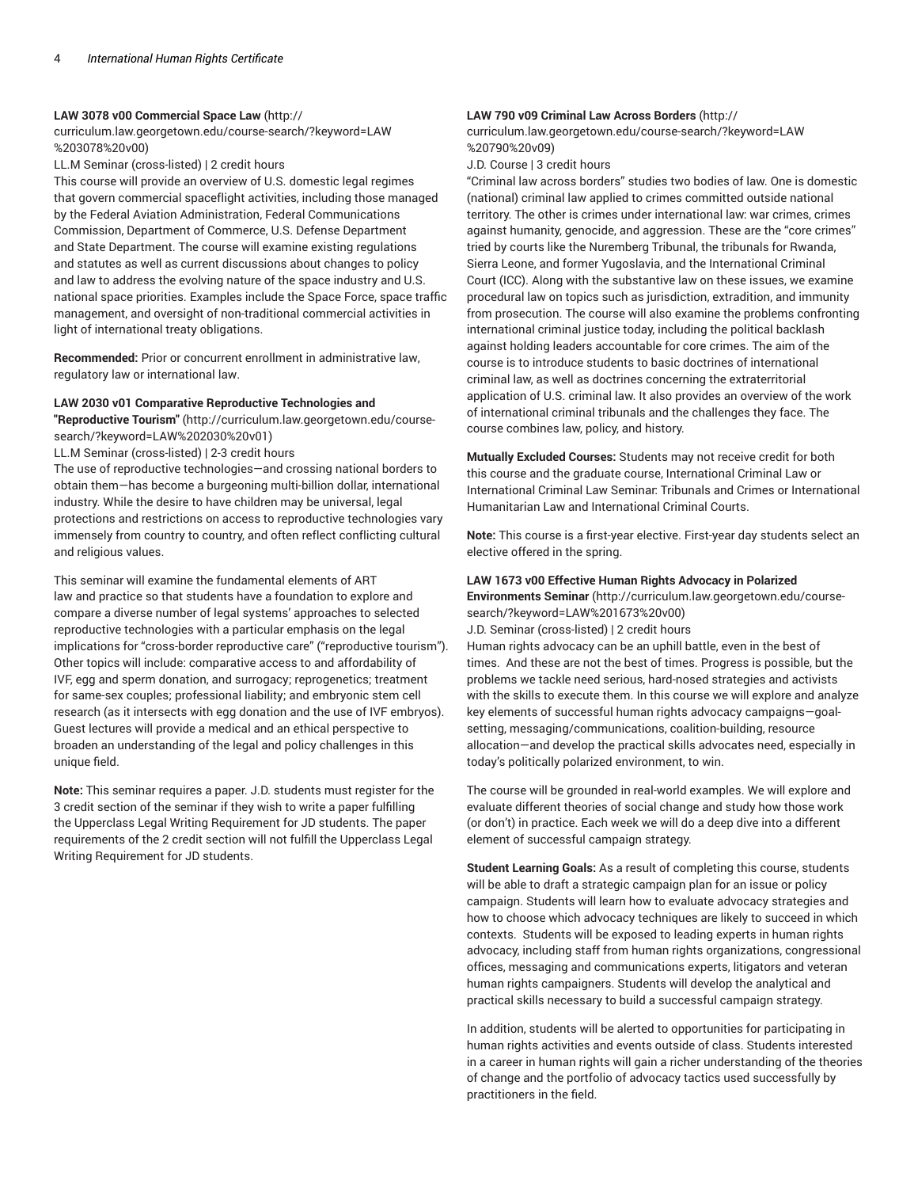#### **LAW 3078 v00 Commercial Space Law** (http://

curriculum.law.georgetown.edu/course-search/?keyword=LAW %203078%20v00)

LL.M Seminar (cross-listed) | 2 credit hours

This course will provide an overview of U.S. domestic legal regimes that govern commercial spaceflight activities, including those managed by the Federal Aviation Administration, Federal Communications Commission, Department of Commerce, U.S. Defense Department and State Department. The course will examine existing regulations and statutes as well as current discussions about changes to policy and law to address the evolving nature of the space industry and U.S. national space priorities. Examples include the Space Force, space traffic management, and oversight of non-traditional commercial activities in light of international treaty obligations.

**Recommended:** Prior or concurrent enrollment in administrative law, regulatory law or international law.

#### **LAW 2030 v01 Comparative Reproductive Technologies and**

**"Reproductive Tourism"** (http://curriculum.law.georgetown.edu/coursesearch/?keyword=LAW%202030%20v01)

LL.M Seminar (cross-listed) | 2-3 credit hours

The use of reproductive technologies—and crossing national borders to obtain them—has become a burgeoning multi-billion dollar, international industry. While the desire to have children may be universal, legal protections and restrictions on access to reproductive technologies vary immensely from country to country, and often reflect conflicting cultural and religious values.

This seminar will examine the fundamental elements of ART law and practice so that students have a foundation to explore and compare a diverse number of legal systems' approaches to selected reproductive technologies with a particular emphasis on the legal implications for "cross-border reproductive care" ("reproductive tourism"). Other topics will include: comparative access to and affordability of IVF, egg and sperm donation, and surrogacy; reprogenetics; treatment for same-sex couples; professional liability; and embryonic stem cell research (as it intersects with egg donation and the use of IVF embryos). Guest lectures will provide a medical and an ethical perspective to broaden an understanding of the legal and policy challenges in this unique field.

**Note:** This seminar requires a paper. J.D. students must register for the 3 credit section of the seminar if they wish to write a paper fulfilling the Upperclass Legal Writing Requirement for JD students. The paper requirements of the 2 credit section will not fulfill the Upperclass Legal Writing Requirement for JD students.

# **LAW 790 v09 Criminal Law Across Borders** (http://

curriculum.law.georgetown.edu/course-search/?keyword=LAW %20790%20v09)

J.D. Course | 3 credit hours

"Criminal law across borders" studies two bodies of law. One is domestic (national) criminal law applied to crimes committed outside national territory. The other is crimes under international law: war crimes, crimes against humanity, genocide, and aggression. These are the "core crimes" tried by courts like the Nuremberg Tribunal, the tribunals for Rwanda, Sierra Leone, and former Yugoslavia, and the International Criminal Court (ICC). Along with the substantive law on these issues, we examine procedural law on topics such as jurisdiction, extradition, and immunity from prosecution. The course will also examine the problems confronting international criminal justice today, including the political backlash against holding leaders accountable for core crimes. The aim of the course is to introduce students to basic doctrines of international criminal law, as well as doctrines concerning the extraterritorial application of U.S. criminal law. It also provides an overview of the work of international criminal tribunals and the challenges they face. The course combines law, policy, and history.

**Mutually Excluded Courses:** Students may not receive credit for both this course and the graduate course, International Criminal Law or International Criminal Law Seminar: Tribunals and Crimes or International Humanitarian Law and International Criminal Courts.

**Note:** This course is a first-year elective. First-year day students select an elective offered in the spring.

#### **LAW 1673 v00 Effective Human Rights Advocacy in Polarized Environments Seminar** (http://curriculum.law.georgetown.edu/course-

search/?keyword=LAW%201673%20v00)

J.D. Seminar (cross-listed) | 2 credit hours

Human rights advocacy can be an uphill battle, even in the best of times. And these are not the best of times. Progress is possible, but the problems we tackle need serious, hard-nosed strategies and activists with the skills to execute them. In this course we will explore and analyze key elements of successful human rights advocacy campaigns—goalsetting, messaging/communications, coalition-building, resource allocation—and develop the practical skills advocates need, especially in today's politically polarized environment, to win.

The course will be grounded in real-world examples. We will explore and evaluate different theories of social change and study how those work (or don't) in practice. Each week we will do a deep dive into a different element of successful campaign strategy.

**Student Learning Goals:** As a result of completing this course, students will be able to draft a strategic campaign plan for an issue or policy campaign. Students will learn how to evaluate advocacy strategies and how to choose which advocacy techniques are likely to succeed in which contexts. Students will be exposed to leading experts in human rights advocacy, including staff from human rights organizations, congressional offices, messaging and communications experts, litigators and veteran human rights campaigners. Students will develop the analytical and practical skills necessary to build a successful campaign strategy.

In addition, students will be alerted to opportunities for participating in human rights activities and events outside of class. Students interested in a career in human rights will gain a richer understanding of the theories of change and the portfolio of advocacy tactics used successfully by practitioners in the field.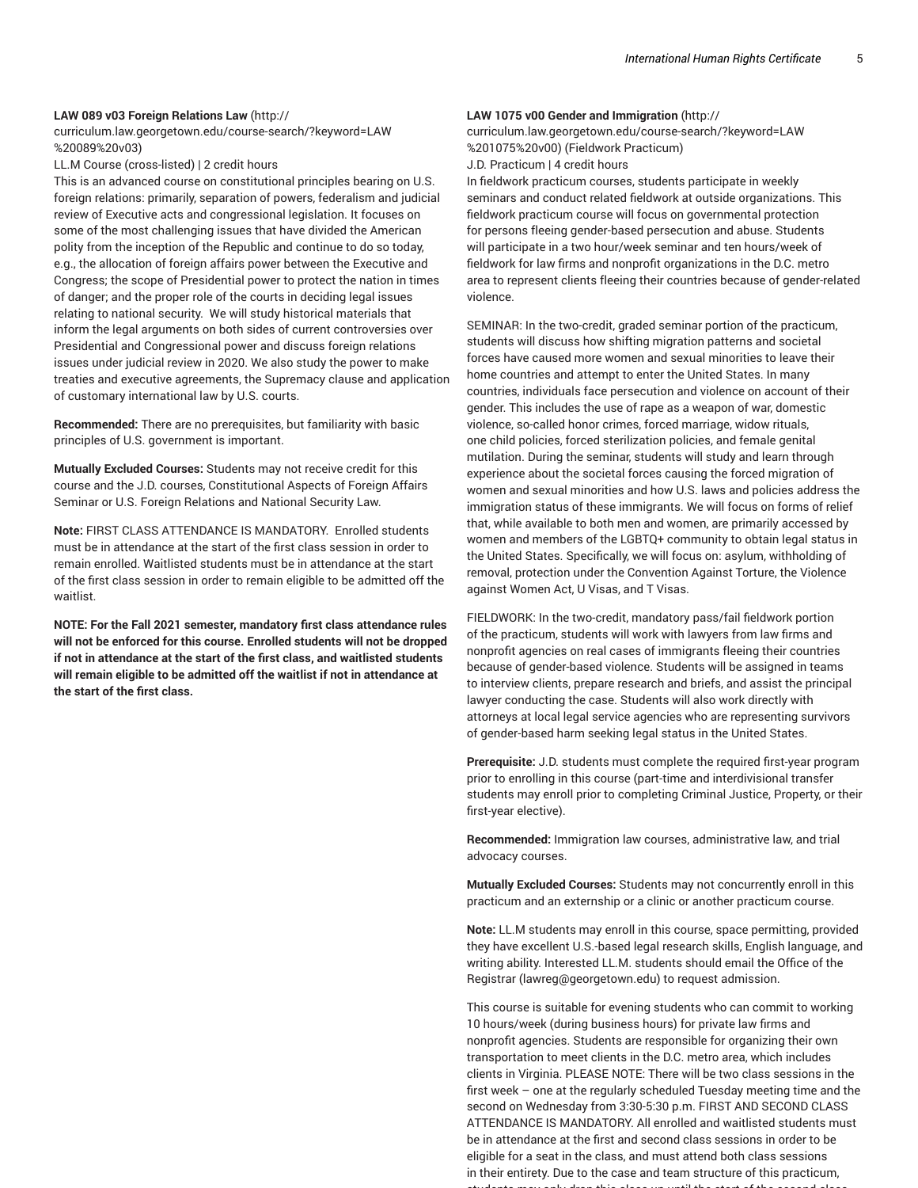## **LAW 089 v03 Foreign Relations Law** (http://

curriculum.law.georgetown.edu/course-search/?keyword=LAW %20089%20v03)

LL.M Course (cross-listed) | 2 credit hours

This is an advanced course on constitutional principles bearing on U.S. foreign relations: primarily, separation of powers, federalism and judicial review of Executive acts and congressional legislation. It focuses on some of the most challenging issues that have divided the American polity from the inception of the Republic and continue to do so today, e.g., the allocation of foreign affairs power between the Executive and Congress; the scope of Presidential power to protect the nation in times of danger; and the proper role of the courts in deciding legal issues relating to national security. We will study historical materials that inform the legal arguments on both sides of current controversies over Presidential and Congressional power and discuss foreign relations issues under judicial review in 2020. We also study the power to make treaties and executive agreements, the Supremacy clause and application of customary international law by U.S. courts.

**Recommended:** There are no prerequisites, but familiarity with basic principles of U.S. government is important.

**Mutually Excluded Courses:** Students may not receive credit for this course and the J.D. courses, Constitutional Aspects of Foreign Affairs Seminar or U.S. Foreign Relations and National Security Law.

**Note:** FIRST CLASS ATTENDANCE IS MANDATORY. Enrolled students must be in attendance at the start of the first class session in order to remain enrolled. Waitlisted students must be in attendance at the start of the first class session in order to remain eligible to be admitted off the waitlist.

**NOTE: For the Fall 2021 semester, mandatory first class attendance rules will not be enforced for this course. Enrolled students will not be dropped if not in attendance at the start of the first class, and waitlisted students will remain eligible to be admitted off the waitlist if not in attendance at the start of the first class.**

#### **LAW 1075 v00 Gender and Immigration** (http://

curriculum.law.georgetown.edu/course-search/?keyword=LAW %201075%20v00) (Fieldwork Practicum) J.D. Practicum | 4 credit hours

In fieldwork practicum courses, students participate in weekly seminars and conduct related fieldwork at outside organizations. This fieldwork practicum course will focus on governmental protection for persons fleeing gender-based persecution and abuse. Students will participate in a two hour/week seminar and ten hours/week of fieldwork for law firms and nonprofit organizations in the D.C. metro area to represent clients fleeing their countries because of gender-related violence.

SEMINAR: In the two-credit, graded seminar portion of the practicum, students will discuss how shifting migration patterns and societal forces have caused more women and sexual minorities to leave their home countries and attempt to enter the United States. In many countries, individuals face persecution and violence on account of their gender. This includes the use of rape as a weapon of war, domestic violence, so-called honor crimes, forced marriage, widow rituals, one child policies, forced sterilization policies, and female genital mutilation. During the seminar, students will study and learn through experience about the societal forces causing the forced migration of women and sexual minorities and how U.S. laws and policies address the immigration status of these immigrants. We will focus on forms of relief that, while available to both men and women, are primarily accessed by women and members of the LGBTQ+ community to obtain legal status in the United States. Specifically, we will focus on: asylum, withholding of removal, protection under the Convention Against Torture, the Violence against Women Act, U Visas, and T Visas.

FIELDWORK: In the two-credit, mandatory pass/fail fieldwork portion of the practicum, students will work with lawyers from law firms and nonprofit agencies on real cases of immigrants fleeing their countries because of gender-based violence. Students will be assigned in teams to interview clients, prepare research and briefs, and assist the principal lawyer conducting the case. Students will also work directly with attorneys at local legal service agencies who are representing survivors of gender-based harm seeking legal status in the United States.

**Prerequisite:** J.D. students must complete the required first-year program prior to enrolling in this course (part-time and interdivisional transfer students may enroll prior to completing Criminal Justice, Property, or their first-year elective).

**Recommended:** Immigration law courses, administrative law, and trial advocacy courses.

**Mutually Excluded Courses:** Students may not concurrently enroll in this practicum and an externship or a clinic or another practicum course.

**Note:** LL.M students may enroll in this course, space permitting, provided they have excellent U.S.-based legal research skills, English language, and writing ability. Interested LL.M. students should email the Office of the Registrar (lawreg@georgetown.edu) to request admission.

This course is suitable for evening students who can commit to working 10 hours/week (during business hours) for private law firms and nonprofit agencies. Students are responsible for organizing their own transportation to meet clients in the D.C. metro area, which includes clients in Virginia. PLEASE NOTE: There will be two class sessions in the first week – one at the regularly scheduled Tuesday meeting time and the second on Wednesday from 3:30-5:30 p.m. FIRST AND SECOND CLASS ATTENDANCE IS MANDATORY. All enrolled and waitlisted students must be in attendance at the first and second class sessions in order to be eligible for a seat in the class, and must attend both class sessions in their entirety. Due to the case and team structure of this practicum, students may only drop this class up until the start of the second class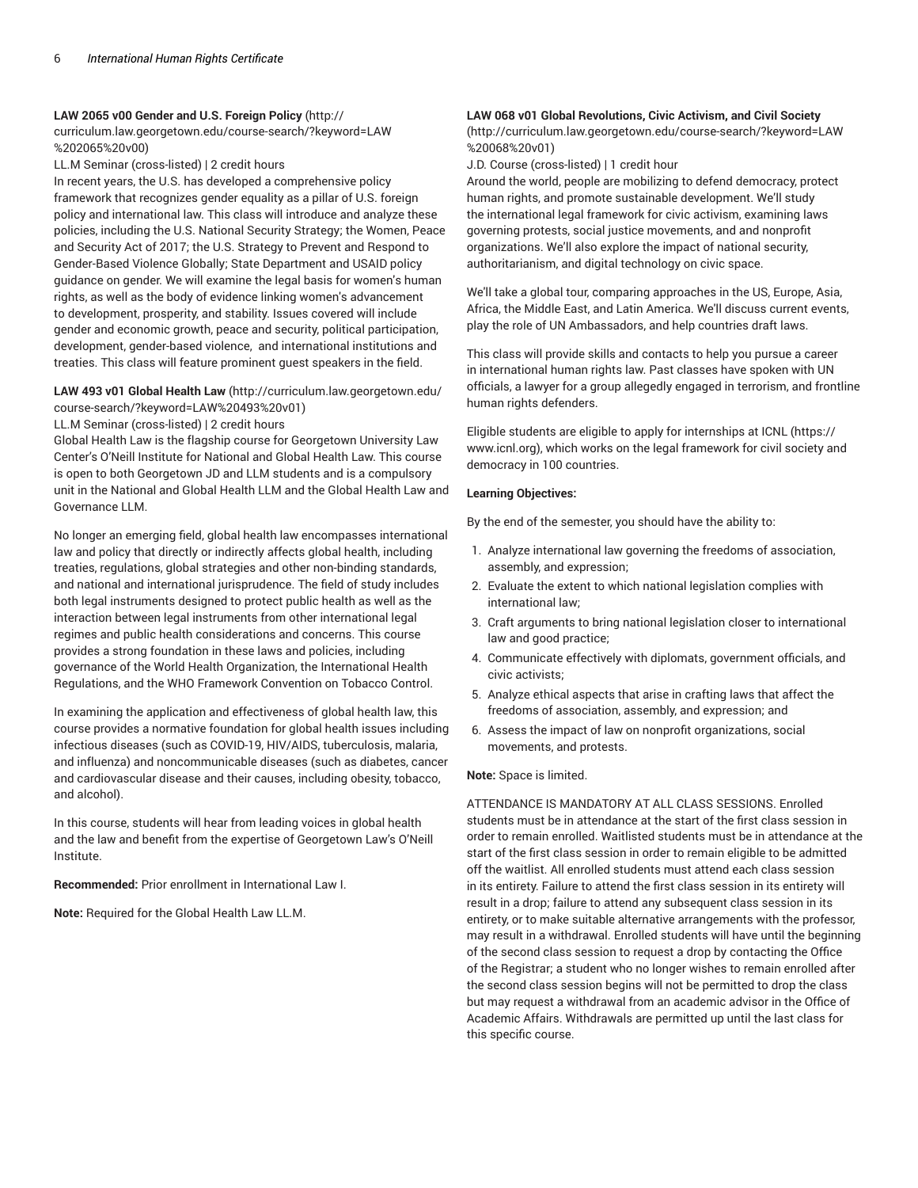## **LAW 2065 v00 Gender and U.S. Foreign Policy** (http://

curriculum.law.georgetown.edu/course-search/?keyword=LAW %202065%20v00)

LL.M Seminar (cross-listed) | 2 credit hours

In recent years, the U.S. has developed a comprehensive policy framework that recognizes gender equality as a pillar of U.S. foreign policy and international law. This class will introduce and analyze these policies, including the U.S. National Security Strategy; the Women, Peace and Security Act of 2017; the U.S. Strategy to Prevent and Respond to Gender-Based Violence Globally; State Department and USAID policy guidance on gender. We will examine the legal basis for women's human rights, as well as the body of evidence linking women's advancement to development, prosperity, and stability. Issues covered will include gender and economic growth, peace and security, political participation, development, gender-based violence, and international institutions and treaties. This class will feature prominent guest speakers in the field.

## **LAW 493 v01 Global Health Law** (http://curriculum.law.georgetown.edu/ course-search/?keyword=LAW%20493%20v01)

LL.M Seminar (cross-listed) | 2 credit hours

Global Health Law is the flagship course for Georgetown University Law Center's O'Neill Institute for National and Global Health Law. This course is open to both Georgetown JD and LLM students and is a compulsory unit in the National and Global Health LLM and the Global Health Law and Governance LLM.

No longer an emerging field, global health law encompasses international law and policy that directly or indirectly affects global health, including treaties, regulations, global strategies and other non-binding standards, and national and international jurisprudence. The field of study includes both legal instruments designed to protect public health as well as the interaction between legal instruments from other international legal regimes and public health considerations and concerns. This course provides a strong foundation in these laws and policies, including governance of the World Health Organization, the International Health Regulations, and the WHO Framework Convention on Tobacco Control.

In examining the application and effectiveness of global health law, this course provides a normative foundation for global health issues including infectious diseases (such as COVID-19, HIV/AIDS, tuberculosis, malaria, and influenza) and noncommunicable diseases (such as diabetes, cancer and cardiovascular disease and their causes, including obesity, tobacco, and alcohol).

In this course, students will hear from leading voices in global health and the law and benefit from the expertise of Georgetown Law's O'Neill Institute.

**Recommended:** Prior enrollment in International Law I.

**Note:** Required for the Global Health Law LL.M.

# **LAW 068 v01 Global Revolutions, Civic Activism, and Civil Society**

(http://curriculum.law.georgetown.edu/course-search/?keyword=LAW %20068%20v01)

J.D. Course (cross-listed) | 1 credit hour

Around the world, people are mobilizing to defend democracy, protect human rights, and promote sustainable development. We'll study the international legal framework for civic activism, examining laws governing protests, social justice movements, and and nonprofit organizations. We'll also explore the impact of national security, authoritarianism, and digital technology on civic space.

We'll take a global tour, comparing approaches in the US, Europe, Asia, Africa, the Middle East, and Latin America. We'll discuss current events, play the role of UN Ambassadors, and help countries draft laws.

This class will provide skills and contacts to help you pursue a career in international human rights law. Past classes have spoken with UN officials, a lawyer for a group allegedly engaged in terrorism, and frontline human rights defenders.

Eligible students are eligible to apply for internships at ICNL (https:// www.icnl.org), which works on the legal framework for civil society and democracy in 100 countries.

## **Learning Objectives:**

By the end of the semester, you should have the ability to:

- 1. Analyze international law governing the freedoms of association, assembly, and expression;
- 2. Evaluate the extent to which national legislation complies with international law;
- 3. Craft arguments to bring national legislation closer to international law and good practice;
- 4. Communicate effectively with diplomats, government officials, and civic activists;
- 5. Analyze ethical aspects that arise in crafting laws that affect the freedoms of association, assembly, and expression; and
- 6. Assess the impact of law on nonprofit organizations, social movements, and protests.

## **Note:** Space is limited.

ATTENDANCE IS MANDATORY AT ALL CLASS SESSIONS. Enrolled students must be in attendance at the start of the first class session in order to remain enrolled. Waitlisted students must be in attendance at the start of the first class session in order to remain eligible to be admitted off the waitlist. All enrolled students must attend each class session in its entirety. Failure to attend the first class session in its entirety will result in a drop; failure to attend any subsequent class session in its entirety, or to make suitable alternative arrangements with the professor, may result in a withdrawal. Enrolled students will have until the beginning of the second class session to request a drop by contacting the Office of the Registrar; a student who no longer wishes to remain enrolled after the second class session begins will not be permitted to drop the class but may request a withdrawal from an academic advisor in the Office of Academic Affairs. Withdrawals are permitted up until the last class for this specific course.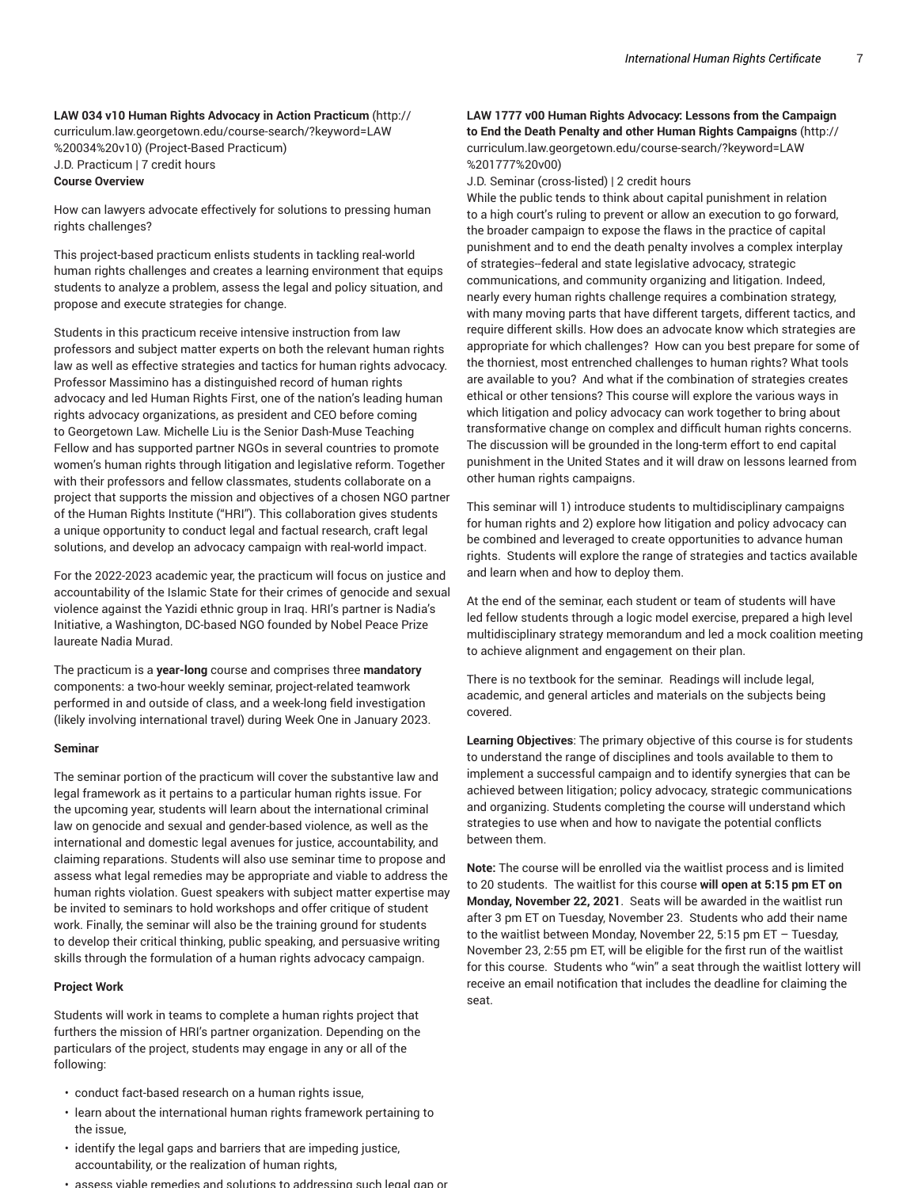# **LAW 034 v10 Human Rights Advocacy in Action Practicum** (http:// curriculum.law.georgetown.edu/course-search/?keyword=LAW %20034%20v10) (Project-Based Practicum) J.D. Practicum | 7 credit hours

#### **Course Overview**

How can lawyers advocate effectively for solutions to pressing human rights challenges?

This project-based practicum enlists students in tackling real-world human rights challenges and creates a learning environment that equips students to analyze a problem, assess the legal and policy situation, and propose and execute strategies for change.

Students in this practicum receive intensive instruction from law professors and subject matter experts on both the relevant human rights law as well as effective strategies and tactics for human rights advocacy. Professor Massimino has a distinguished record of human rights advocacy and led Human Rights First, one of the nation's leading human rights advocacy organizations, as president and CEO before coming to Georgetown Law. Michelle Liu is the Senior Dash-Muse Teaching Fellow and has supported partner NGOs in several countries to promote women's human rights through litigation and legislative reform. Together with their professors and fellow classmates, students collaborate on a project that supports the mission and objectives of a chosen NGO partner of the Human Rights Institute ("HRI"). This collaboration gives students a unique opportunity to conduct legal and factual research, craft legal solutions, and develop an advocacy campaign with real-world impact.

For the 2022-2023 academic year, the practicum will focus on justice and accountability of the Islamic State for their crimes of genocide and sexual violence against the Yazidi ethnic group in Iraq. HRI's partner is Nadia's Initiative, a Washington, DC-based NGO founded by Nobel Peace Prize laureate Nadia Murad.

The practicum is a **year-long** course and comprises three **mandatory** components: a two-hour weekly seminar, project-related teamwork performed in and outside of class, and a week-long field investigation (likely involving international travel) during Week One in January 2023.

#### **Seminar**

The seminar portion of the practicum will cover the substantive law and legal framework as it pertains to a particular human rights issue. For the upcoming year, students will learn about the international criminal law on genocide and sexual and gender-based violence, as well as the international and domestic legal avenues for justice, accountability, and claiming reparations. Students will also use seminar time to propose and assess what legal remedies may be appropriate and viable to address the human rights violation. Guest speakers with subject matter expertise may be invited to seminars to hold workshops and offer critique of student work. Finally, the seminar will also be the training ground for students to develop their critical thinking, public speaking, and persuasive writing skills through the formulation of a human rights advocacy campaign.

#### **Project Work**

Students will work in teams to complete a human rights project that furthers the mission of HRI's partner organization. Depending on the particulars of the project, students may engage in any or all of the following:

- conduct fact-based research on a human rights issue,
- learn about the international human rights framework pertaining to the issue,
- identify the legal gaps and barriers that are impeding justice, accountability, or the realization of human rights,
- assess viable remedies and solutions to addressing such legal gap or

# **LAW 1777 v00 Human Rights Advocacy: Lessons from the Campaign to End the Death Penalty and other Human Rights Campaigns** (http:// curriculum.law.georgetown.edu/course-search/?keyword=LAW %201777%20v00)

J.D. Seminar (cross-listed) | 2 credit hours

While the public tends to think about capital punishment in relation to a high court's ruling to prevent or allow an execution to go forward, the broader campaign to expose the flaws in the practice of capital punishment and to end the death penalty involves a complex interplay of strategies--federal and state legislative advocacy, strategic communications, and community organizing and litigation. Indeed, nearly every human rights challenge requires a combination strategy, with many moving parts that have different targets, different tactics, and require different skills. How does an advocate know which strategies are appropriate for which challenges? How can you best prepare for some of the thorniest, most entrenched challenges to human rights? What tools are available to you? And what if the combination of strategies creates ethical or other tensions? This course will explore the various ways in which litigation and policy advocacy can work together to bring about transformative change on complex and difficult human rights concerns. The discussion will be grounded in the long-term effort to end capital punishment in the United States and it will draw on lessons learned from other human rights campaigns.

This seminar will 1) introduce students to multidisciplinary campaigns for human rights and 2) explore how litigation and policy advocacy can be combined and leveraged to create opportunities to advance human rights. Students will explore the range of strategies and tactics available and learn when and how to deploy them.

At the end of the seminar, each student or team of students will have led fellow students through a logic model exercise, prepared a high level multidisciplinary strategy memorandum and led a mock coalition meeting to achieve alignment and engagement on their plan.

There is no textbook for the seminar. Readings will include legal, academic, and general articles and materials on the subjects being covered.

**Learning Objectives**: The primary objective of this course is for students to understand the range of disciplines and tools available to them to implement a successful campaign and to identify synergies that can be achieved between litigation; policy advocacy, strategic communications and organizing. Students completing the course will understand which strategies to use when and how to navigate the potential conflicts between them.

**Note:** The course will be enrolled via the waitlist process and is limited to 20 students. The waitlist for this course **will open at 5:15 pm ET on Monday, November 22, 2021**. Seats will be awarded in the waitlist run after 3 pm ET on Tuesday, November 23. Students who add their name to the waitlist between Monday, November 22, 5:15 pm ET – Tuesday, November 23, 2:55 pm ET, will be eligible for the first run of the waitlist for this course. Students who "win" a seat through the waitlist lottery will receive an email notification that includes the deadline for claiming the seat.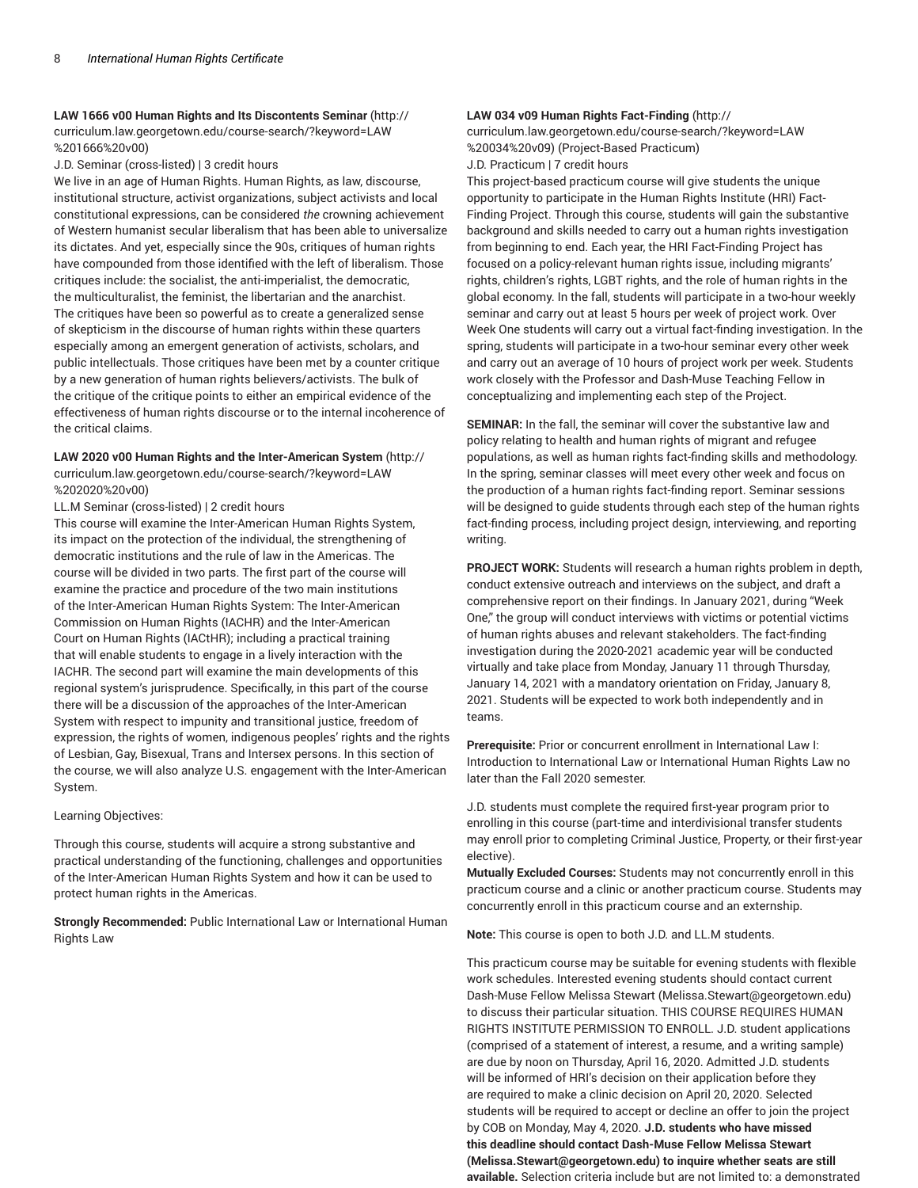# **LAW 1666 v00 Human Rights and Its Discontents Seminar** (http:// curriculum.law.georgetown.edu/course-search/?keyword=LAW %201666%20v00)

J.D. Seminar (cross-listed) | 3 credit hours

We live in an age of Human Rights. Human Rights, as law, discourse, institutional structure, activist organizations, subject activists and local constitutional expressions, can be considered *the* crowning achievement of Western humanist secular liberalism that has been able to universalize its dictates. And yet, especially since the 90s, critiques of human rights have compounded from those identified with the left of liberalism. Those critiques include: the socialist, the anti-imperialist, the democratic, the multiculturalist, the feminist, the libertarian and the anarchist. The critiques have been so powerful as to create a generalized sense of skepticism in the discourse of human rights within these quarters especially among an emergent generation of activists, scholars, and public intellectuals. Those critiques have been met by a counter critique by a new generation of human rights believers/activists. The bulk of the critique of the critique points to either an empirical evidence of the effectiveness of human rights discourse or to the internal incoherence of the critical claims.

# **LAW 2020 v00 Human Rights and the Inter-American System** (http://

curriculum.law.georgetown.edu/course-search/?keyword=LAW %202020%20v00)

LL.M Seminar (cross-listed) | 2 credit hours

This course will examine the Inter-American Human Rights System, its impact on the protection of the individual, the strengthening of democratic institutions and the rule of law in the Americas. The course will be divided in two parts. The first part of the course will examine the practice and procedure of the two main institutions of the Inter-American Human Rights System: The Inter-American Commission on Human Rights (IACHR) and the Inter-American Court on Human Rights (IACtHR); including a practical training that will enable students to engage in a lively interaction with the IACHR. The second part will examine the main developments of this regional system's jurisprudence. Specifically, in this part of the course there will be a discussion of the approaches of the Inter-American System with respect to impunity and transitional justice, freedom of expression, the rights of women, indigenous peoples' rights and the rights of Lesbian, Gay, Bisexual, Trans and Intersex persons. In this section of the course, we will also analyze U.S. engagement with the Inter-American System.

## Learning Objectives:

Through this course, students will acquire a strong substantive and practical understanding of the functioning, challenges and opportunities of the Inter-American Human Rights System and how it can be used to protect human rights in the Americas.

**Strongly Recommended:** Public International Law or International Human Rights Law

# **LAW 034 v09 Human Rights Fact-Finding** (http://

curriculum.law.georgetown.edu/course-search/?keyword=LAW %20034%20v09) (Project-Based Practicum) J.D. Practicum | 7 credit hours

This project-based practicum course will give students the unique opportunity to participate in the Human Rights Institute (HRI) Fact-Finding Project. Through this course, students will gain the substantive background and skills needed to carry out a human rights investigation from beginning to end. Each year, the HRI Fact-Finding Project has focused on a policy-relevant human rights issue, including migrants' rights, children's rights, LGBT rights, and the role of human rights in the global economy. In the fall, students will participate in a two-hour weekly seminar and carry out at least 5 hours per week of project work. Over Week One students will carry out a virtual fact-finding investigation. In the spring, students will participate in a two-hour seminar every other week and carry out an average of 10 hours of project work per week. Students work closely with the Professor and Dash-Muse Teaching Fellow in conceptualizing and implementing each step of the Project.

**SEMINAR:** In the fall, the seminar will cover the substantive law and policy relating to health and human rights of migrant and refugee populations, as well as human rights fact-finding skills and methodology. In the spring, seminar classes will meet every other week and focus on the production of a human rights fact-finding report. Seminar sessions will be designed to guide students through each step of the human rights fact-finding process, including project design, interviewing, and reporting writing.

**PROJECT WORK:** Students will research a human rights problem in depth, conduct extensive outreach and interviews on the subject, and draft a comprehensive report on their findings. In January 2021, during "Week One," the group will conduct interviews with victims or potential victims of human rights abuses and relevant stakeholders. The fact-finding investigation during the 2020-2021 academic year will be conducted virtually and take place from Monday, January 11 through Thursday, January 14, 2021 with a mandatory orientation on Friday, January 8, 2021. Students will be expected to work both independently and in teams.

**Prerequisite:** Prior or concurrent enrollment in International Law I: Introduction to International Law or International Human Rights Law no later than the Fall 2020 semester.

J.D. students must complete the required first-year program prior to enrolling in this course (part-time and interdivisional transfer students may enroll prior to completing Criminal Justice, Property, or their first-year elective).

**Mutually Excluded Courses:** Students may not concurrently enroll in this practicum course and a clinic or another practicum course. Students may concurrently enroll in this practicum course and an externship.

**Note:** This course is open to both J.D. and LL.M students.

This practicum course may be suitable for evening students with flexible work schedules. Interested evening students should contact current Dash-Muse Fellow Melissa Stewart (Melissa.Stewart@georgetown.edu) to discuss their particular situation. THIS COURSE REQUIRES HUMAN RIGHTS INSTITUTE PERMISSION TO ENROLL. J.D. student applications (comprised of a statement of interest, a resume, and a writing sample) are due by noon on Thursday, April 16, 2020. Admitted J.D. students will be informed of HRI's decision on their application before they are required to make a clinic decision on April 20, 2020. Selected students will be required to accept or decline an offer to join the project by COB on Monday, May 4, 2020. **J.D. students who have missed this deadline should contact Dash-Muse Fellow Melissa Stewart (Melissa.Stewart@georgetown.edu) to inquire whether seats are still available.** Selection criteria include but are not limited to: a demonstrated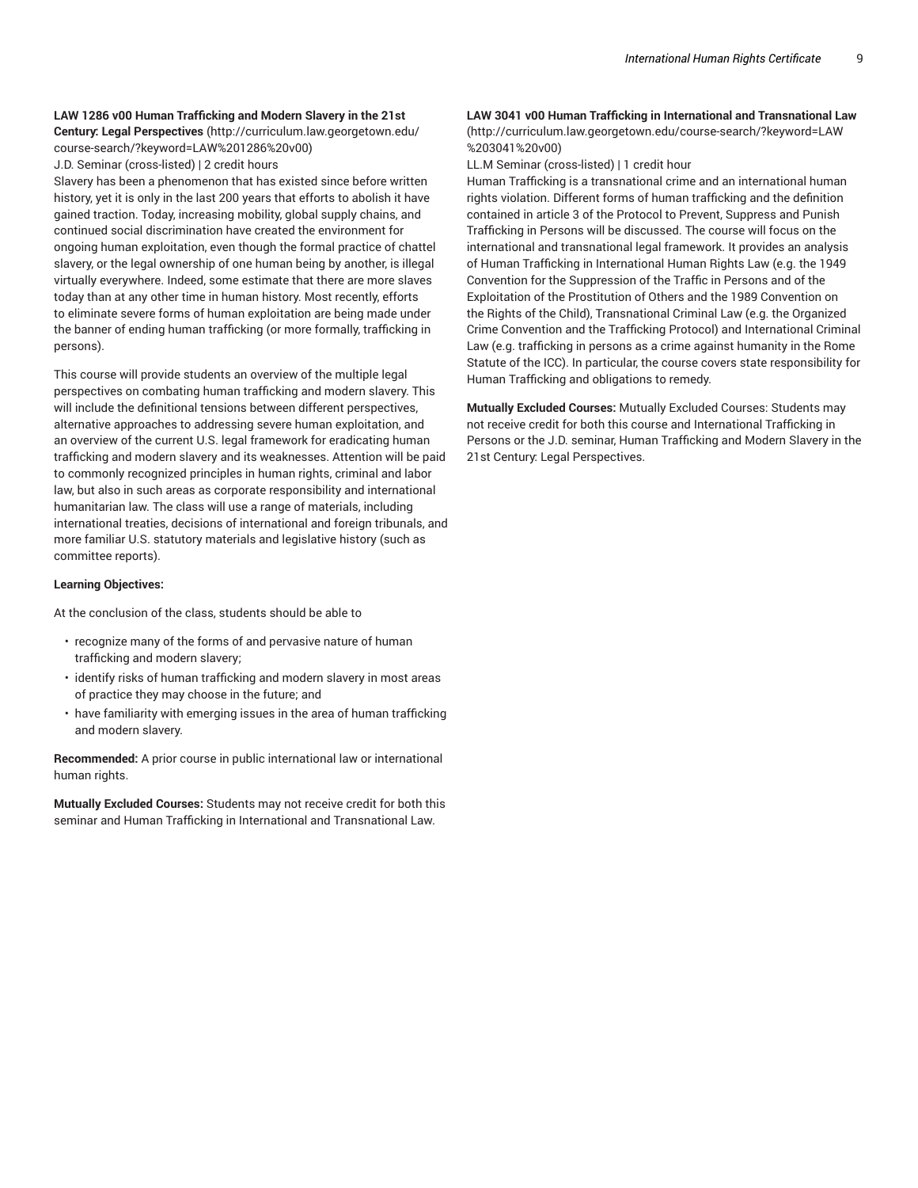#### **LAW 1286 v00 Human Trafficking and Modern Slavery in the 21st**

**Century: Legal Perspectives** (http://curriculum.law.georgetown.edu/ course-search/?keyword=LAW%201286%20v00)

J.D. Seminar (cross-listed) | 2 credit hours

Slavery has been a phenomenon that has existed since before written history, yet it is only in the last 200 years that efforts to abolish it have gained traction. Today, increasing mobility, global supply chains, and continued social discrimination have created the environment for ongoing human exploitation, even though the formal practice of chattel slavery, or the legal ownership of one human being by another, is illegal virtually everywhere. Indeed, some estimate that there are more slaves today than at any other time in human history. Most recently, efforts to eliminate severe forms of human exploitation are being made under the banner of ending human trafficking (or more formally, trafficking in persons).

This course will provide students an overview of the multiple legal perspectives on combating human trafficking and modern slavery. This will include the definitional tensions between different perspectives, alternative approaches to addressing severe human exploitation, and an overview of the current U.S. legal framework for eradicating human trafficking and modern slavery and its weaknesses. Attention will be paid to commonly recognized principles in human rights, criminal and labor law, but also in such areas as corporate responsibility and international humanitarian law. The class will use a range of materials, including international treaties, decisions of international and foreign tribunals, and more familiar U.S. statutory materials and legislative history (such as committee reports).

#### **Learning Objectives:**

At the conclusion of the class, students should be able to

- recognize many of the forms of and pervasive nature of human trafficking and modern slavery;
- identify risks of human trafficking and modern slavery in most areas of practice they may choose in the future; and
- have familiarity with emerging issues in the area of human trafficking and modern slavery.

**Recommended:** A prior course in public international law or international human rights.

**Mutually Excluded Courses:** Students may not receive credit for both this seminar and Human Trafficking in International and Transnational Law.

# **LAW 3041 v00 Human Trafficking in International and Transnational Law**

(http://curriculum.law.georgetown.edu/course-search/?keyword=LAW %203041%20v00)

LL.M Seminar (cross-listed) | 1 credit hour

Human Trafficking is a transnational crime and an international human rights violation. Different forms of human trafficking and the definition contained in article 3 of the Protocol to Prevent, Suppress and Punish Trafficking in Persons will be discussed. The course will focus on the international and transnational legal framework. It provides an analysis of Human Trafficking in International Human Rights Law (e.g. the 1949 Convention for the Suppression of the Traffic in Persons and of the Exploitation of the Prostitution of Others and the 1989 Convention on the Rights of the Child), Transnational Criminal Law (e.g. the Organized Crime Convention and the Trafficking Protocol) and International Criminal Law (e.g. trafficking in persons as a crime against humanity in the Rome Statute of the ICC). In particular, the course covers state responsibility for Human Trafficking and obligations to remedy.

**Mutually Excluded Courses:** Mutually Excluded Courses: Students may not receive credit for both this course and International Trafficking in Persons or the J.D. seminar, Human Trafficking and Modern Slavery in the 21st Century: Legal Perspectives.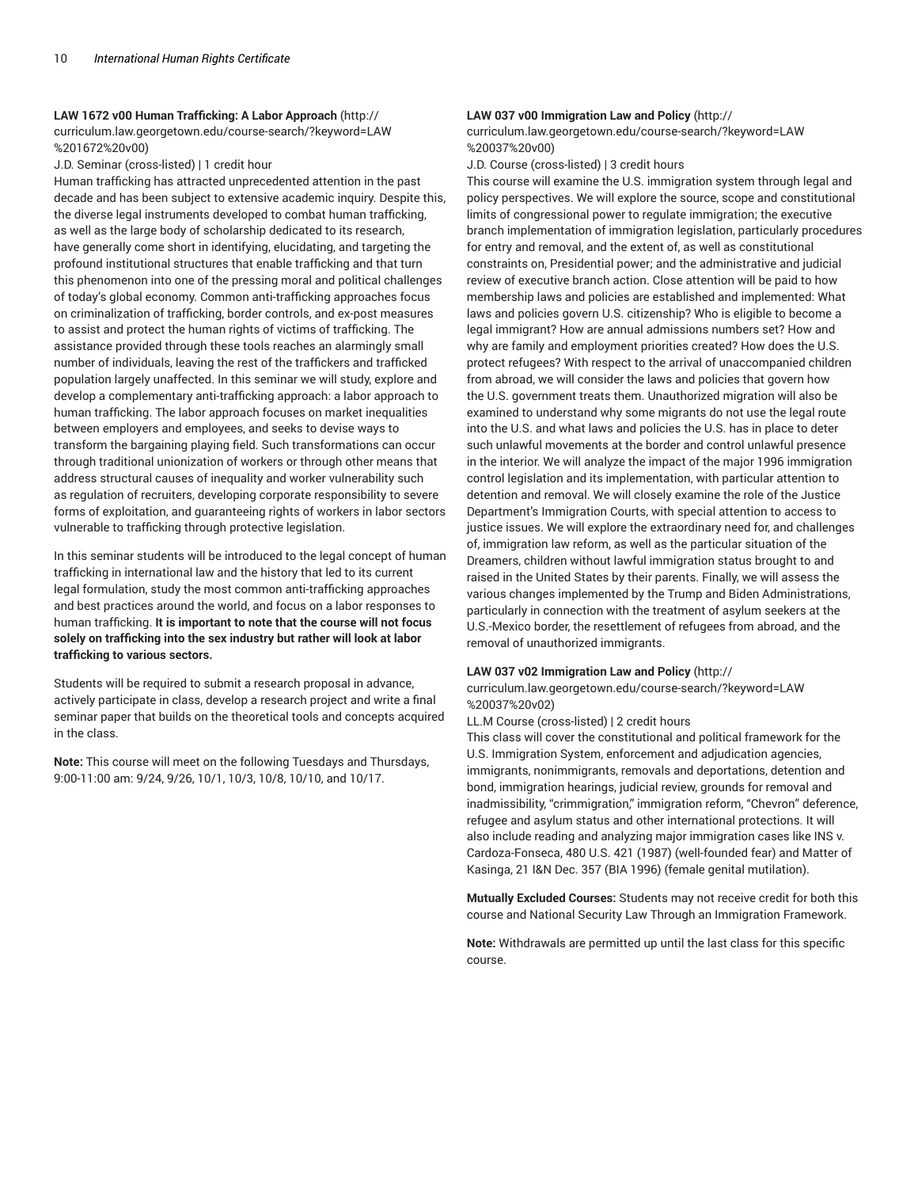#### **LAW 1672 v00 Human Trafficking: A Labor Approach** (http://

curriculum.law.georgetown.edu/course-search/?keyword=LAW %201672%20v00)

J.D. Seminar (cross-listed) | 1 credit hour

Human trafficking has attracted unprecedented attention in the past decade and has been subject to extensive academic inquiry. Despite this, the diverse legal instruments developed to combat human trafficking, as well as the large body of scholarship dedicated to its research, have generally come short in identifying, elucidating, and targeting the profound institutional structures that enable trafficking and that turn this phenomenon into one of the pressing moral and political challenges of today's global economy. Common anti-trafficking approaches focus on criminalization of trafficking, border controls, and ex-post measures to assist and protect the human rights of victims of trafficking. The assistance provided through these tools reaches an alarmingly small number of individuals, leaving the rest of the traffickers and trafficked population largely unaffected. In this seminar we will study, explore and develop a complementary anti-trafficking approach: a labor approach to human trafficking. The labor approach focuses on market inequalities between employers and employees, and seeks to devise ways to transform the bargaining playing field. Such transformations can occur through traditional unionization of workers or through other means that address structural causes of inequality and worker vulnerability such as regulation of recruiters, developing corporate responsibility to severe forms of exploitation, and guaranteeing rights of workers in labor sectors vulnerable to trafficking through protective legislation.

In this seminar students will be introduced to the legal concept of human trafficking in international law and the history that led to its current legal formulation, study the most common anti-trafficking approaches and best practices around the world, and focus on a labor responses to human trafficking. **It is important to note that the course will not focus solely on trafficking into the sex industry but rather will look at labor trafficking to various sectors.**

Students will be required to submit a research proposal in advance, actively participate in class, develop a research project and write a final seminar paper that builds on the theoretical tools and concepts acquired in the class.

**Note:** This course will meet on the following Tuesdays and Thursdays, 9:00-11:00 am: 9/24, 9/26, 10/1, 10/3, 10/8, 10/10, and 10/17.

# **LAW 037 v00 Immigration Law and Policy** (http://

curriculum.law.georgetown.edu/course-search/?keyword=LAW %20037%20v00)

J.D. Course (cross-listed) | 3 credit hours

This course will examine the U.S. immigration system through legal and policy perspectives. We will explore the source, scope and constitutional limits of congressional power to regulate immigration; the executive branch implementation of immigration legislation, particularly procedures for entry and removal, and the extent of, as well as constitutional constraints on, Presidential power; and the administrative and judicial review of executive branch action. Close attention will be paid to how membership laws and policies are established and implemented: What laws and policies govern U.S. citizenship? Who is eligible to become a legal immigrant? How are annual admissions numbers set? How and why are family and employment priorities created? How does the U.S. protect refugees? With respect to the arrival of unaccompanied children from abroad, we will consider the laws and policies that govern how the U.S. government treats them. Unauthorized migration will also be examined to understand why some migrants do not use the legal route into the U.S. and what laws and policies the U.S. has in place to deter such unlawful movements at the border and control unlawful presence in the interior. We will analyze the impact of the major 1996 immigration control legislation and its implementation, with particular attention to detention and removal. We will closely examine the role of the Justice Department's Immigration Courts, with special attention to access to justice issues. We will explore the extraordinary need for, and challenges of, immigration law reform, as well as the particular situation of the Dreamers, children without lawful immigration status brought to and raised in the United States by their parents. Finally, we will assess the various changes implemented by the Trump and Biden Administrations, particularly in connection with the treatment of asylum seekers at the U.S.-Mexico border, the resettlement of refugees from abroad, and the removal of unauthorized immigrants.

#### **LAW 037 v02 Immigration Law and Policy** (http://

curriculum.law.georgetown.edu/course-search/?keyword=LAW %20037%20v02)

LL.M Course (cross-listed) | 2 credit hours

This class will cover the constitutional and political framework for the U.S. Immigration System, enforcement and adjudication agencies, immigrants, nonimmigrants, removals and deportations, detention and bond, immigration hearings, judicial review, grounds for removal and inadmissibility, "crimmigration," immigration reform, "Chevron" deference, refugee and asylum status and other international protections. It will also include reading and analyzing major immigration cases like INS v. Cardoza-Fonseca, 480 U.S. 421 (1987) (well-founded fear) and Matter of Kasinga, 21 I&N Dec. 357 (BIA 1996) (female genital mutilation).

**Mutually Excluded Courses:** Students may not receive credit for both this course and National Security Law Through an Immigration Framework.

**Note:** Withdrawals are permitted up until the last class for this specific course.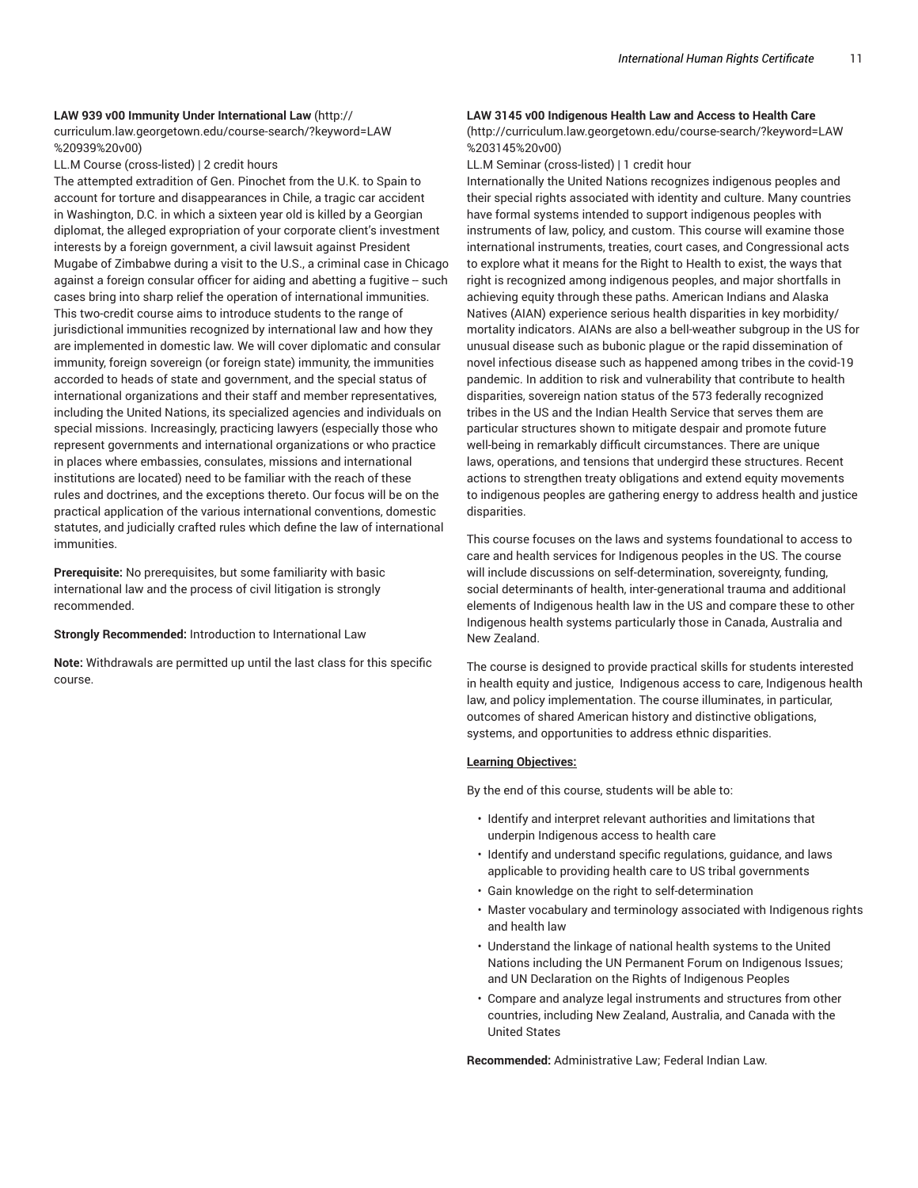# **LAW 939 v00 Immunity Under International Law** (http:// curriculum.law.georgetown.edu/course-search/?keyword=LAW

%20939%20v00)

LL.M Course (cross-listed) | 2 credit hours

The attempted extradition of Gen. Pinochet from the U.K. to Spain to account for torture and disappearances in Chile, a tragic car accident in Washington, D.C. in which a sixteen year old is killed by a Georgian diplomat, the alleged expropriation of your corporate client's investment interests by a foreign government, a civil lawsuit against President Mugabe of Zimbabwe during a visit to the U.S., a criminal case in Chicago against a foreign consular officer for aiding and abetting a fugitive -- such cases bring into sharp relief the operation of international immunities. This two-credit course aims to introduce students to the range of jurisdictional immunities recognized by international law and how they are implemented in domestic law. We will cover diplomatic and consular immunity, foreign sovereign (or foreign state) immunity, the immunities accorded to heads of state and government, and the special status of international organizations and their staff and member representatives, including the United Nations, its specialized agencies and individuals on special missions. Increasingly, practicing lawyers (especially those who represent governments and international organizations or who practice in places where embassies, consulates, missions and international institutions are located) need to be familiar with the reach of these rules and doctrines, and the exceptions thereto. Our focus will be on the practical application of the various international conventions, domestic statutes, and judicially crafted rules which define the law of international immunities.

**Prerequisite:** No prerequisites, but some familiarity with basic international law and the process of civil litigation is strongly recommended.

#### **Strongly Recommended:** Introduction to International Law

**Note:** Withdrawals are permitted up until the last class for this specific course.

# **LAW 3145 v00 Indigenous Health Law and Access to Health Care**

(http://curriculum.law.georgetown.edu/course-search/?keyword=LAW %203145%20v00)

LL.M Seminar (cross-listed) | 1 credit hour

Internationally the United Nations recognizes indigenous peoples and their special rights associated with identity and culture. Many countries have formal systems intended to support indigenous peoples with instruments of law, policy, and custom. This course will examine those international instruments, treaties, court cases, and Congressional acts to explore what it means for the Right to Health to exist, the ways that right is recognized among indigenous peoples, and major shortfalls in achieving equity through these paths. American Indians and Alaska Natives (AIAN) experience serious health disparities in key morbidity/ mortality indicators. AIANs are also a bell-weather subgroup in the US for unusual disease such as bubonic plague or the rapid dissemination of novel infectious disease such as happened among tribes in the covid-19 pandemic. In addition to risk and vulnerability that contribute to health disparities, sovereign nation status of the 573 federally recognized tribes in the US and the Indian Health Service that serves them are particular structures shown to mitigate despair and promote future well-being in remarkably difficult circumstances. There are unique laws, operations, and tensions that undergird these structures. Recent actions to strengthen treaty obligations and extend equity movements to indigenous peoples are gathering energy to address health and justice disparities.

This course focuses on the laws and systems foundational to access to care and health services for Indigenous peoples in the US. The course will include discussions on self-determination, sovereignty, funding, social determinants of health, inter-generational trauma and additional elements of Indigenous health law in the US and compare these to other Indigenous health systems particularly those in Canada, Australia and New Zealand.

The course is designed to provide practical skills for students interested in health equity and justice, Indigenous access to care, Indigenous health law, and policy implementation. The course illuminates, in particular, outcomes of shared American history and distinctive obligations, systems, and opportunities to address ethnic disparities.

## **Learning Objectives:**

By the end of this course, students will be able to:

- Identify and interpret relevant authorities and limitations that underpin Indigenous access to health care
- Identify and understand specific regulations, guidance, and laws applicable to providing health care to US tribal governments
- Gain knowledge on the right to self-determination
- Master vocabulary and terminology associated with Indigenous rights and health law
- Understand the linkage of national health systems to the United Nations including the UN Permanent Forum on Indigenous Issues; and UN Declaration on the Rights of Indigenous Peoples
- Compare and analyze legal instruments and structures from other countries, including New Zealand, Australia, and Canada with the United States

**Recommended:** Administrative Law; Federal Indian Law.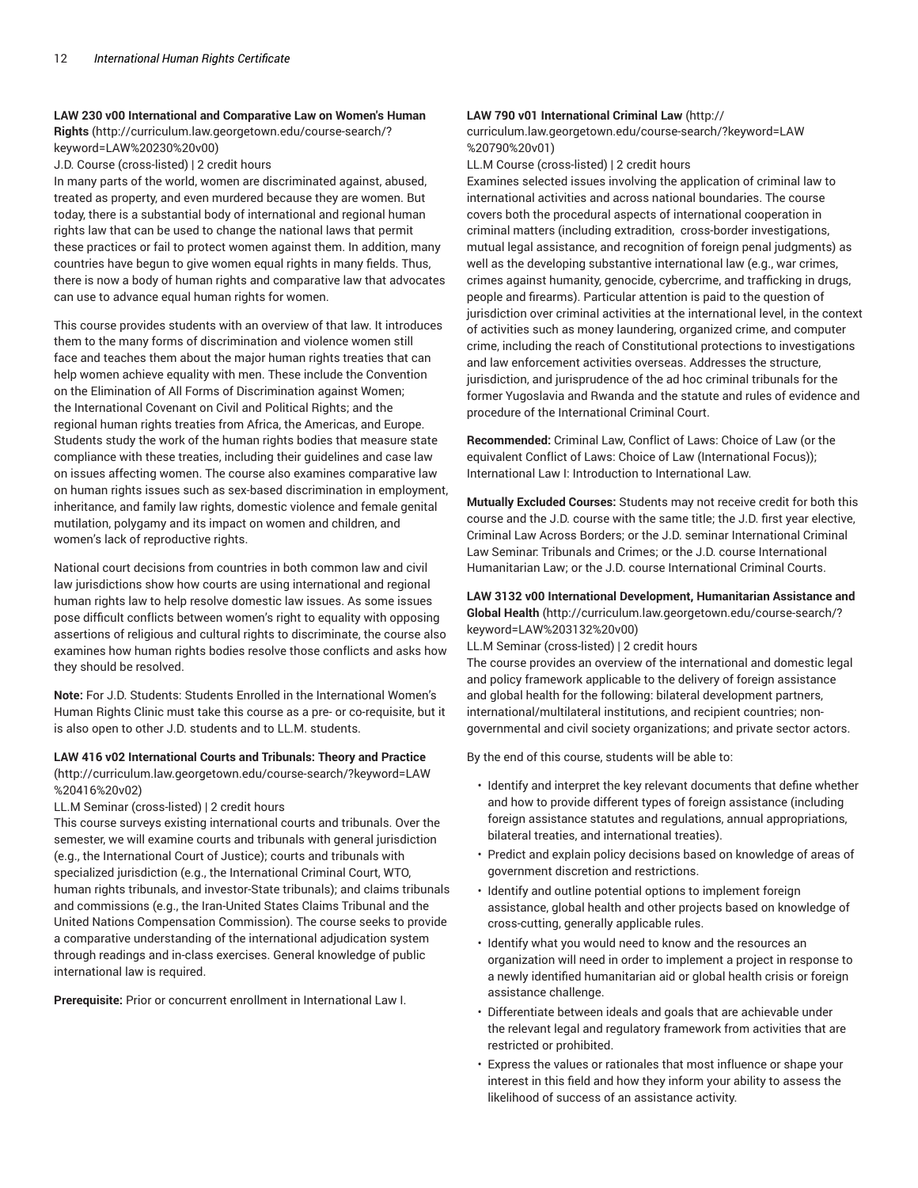#### **LAW 230 v00 International and Comparative Law on Women's Human**

**Rights** (http://curriculum.law.georgetown.edu/course-search/? keyword=LAW%20230%20v00)

J.D. Course (cross-listed) | 2 credit hours

In many parts of the world, women are discriminated against, abused, treated as property, and even murdered because they are women. But today, there is a substantial body of international and regional human rights law that can be used to change the national laws that permit these practices or fail to protect women against them. In addition, many countries have begun to give women equal rights in many fields. Thus, there is now a body of human rights and comparative law that advocates can use to advance equal human rights for women.

This course provides students with an overview of that law. It introduces them to the many forms of discrimination and violence women still face and teaches them about the major human rights treaties that can help women achieve equality with men. These include the Convention on the Elimination of All Forms of Discrimination against Women; the International Covenant on Civil and Political Rights; and the regional human rights treaties from Africa, the Americas, and Europe. Students study the work of the human rights bodies that measure state compliance with these treaties, including their guidelines and case law on issues affecting women. The course also examines comparative law on human rights issues such as sex-based discrimination in employment, inheritance, and family law rights, domestic violence and female genital mutilation, polygamy and its impact on women and children, and women's lack of reproductive rights.

National court decisions from countries in both common law and civil law jurisdictions show how courts are using international and regional human rights law to help resolve domestic law issues. As some issues pose difficult conflicts between women's right to equality with opposing assertions of religious and cultural rights to discriminate, the course also examines how human rights bodies resolve those conflicts and asks how they should be resolved.

**Note:** For J.D. Students: Students Enrolled in the International Women's Human Rights Clinic must take this course as a pre- or co-requisite, but it is also open to other J.D. students and to LL.M. students.

# **LAW 416 v02 International Courts and Tribunals: Theory and Practice**

(http://curriculum.law.georgetown.edu/course-search/?keyword=LAW %20416%20v02)

LL.M Seminar (cross-listed) | 2 credit hours

This course surveys existing international courts and tribunals. Over the semester, we will examine courts and tribunals with general jurisdiction (e.g., the International Court of Justice); courts and tribunals with specialized jurisdiction (e.g., the International Criminal Court, WTO, human rights tribunals, and investor-State tribunals); and claims tribunals and commissions (e.g., the Iran-United States Claims Tribunal and the United Nations Compensation Commission). The course seeks to provide a comparative understanding of the international adjudication system through readings and in-class exercises. General knowledge of public international law is required.

**Prerequisite:** Prior or concurrent enrollment in International Law I.

# **LAW 790 v01 International Criminal Law** (http://

curriculum.law.georgetown.edu/course-search/?keyword=LAW %20790%20v01)

LL.M Course (cross-listed) | 2 credit hours

Examines selected issues involving the application of criminal law to international activities and across national boundaries. The course covers both the procedural aspects of international cooperation in criminal matters (including extradition, cross-border investigations, mutual legal assistance, and recognition of foreign penal judgments) as well as the developing substantive international law (e.g., war crimes, crimes against humanity, genocide, cybercrime, and trafficking in drugs, people and firearms). Particular attention is paid to the question of jurisdiction over criminal activities at the international level, in the context of activities such as money laundering, organized crime, and computer crime, including the reach of Constitutional protections to investigations and law enforcement activities overseas. Addresses the structure, jurisdiction, and jurisprudence of the ad hoc criminal tribunals for the former Yugoslavia and Rwanda and the statute and rules of evidence and procedure of the International Criminal Court.

**Recommended:** Criminal Law, Conflict of Laws: Choice of Law (or the equivalent Conflict of Laws: Choice of Law (International Focus)); International Law I: Introduction to International Law.

**Mutually Excluded Courses:** Students may not receive credit for both this course and the J.D. course with the same title; the J.D. first year elective, Criminal Law Across Borders; or the J.D. seminar International Criminal Law Seminar: Tribunals and Crimes; or the J.D. course International Humanitarian Law; or the J.D. course International Criminal Courts.

# **LAW 3132 v00 International Development, Humanitarian Assistance and Global Health** (http://curriculum.law.georgetown.edu/course-search/? keyword=LAW%203132%20v00)

LL.M Seminar (cross-listed) | 2 credit hours

The course provides an overview of the international and domestic legal and policy framework applicable to the delivery of foreign assistance and global health for the following: bilateral development partners, international/multilateral institutions, and recipient countries; nongovernmental and civil society organizations; and private sector actors.

By the end of this course, students will be able to:

- Identify and interpret the key relevant documents that define whether and how to provide different types of foreign assistance (including foreign assistance statutes and regulations, annual appropriations, bilateral treaties, and international treaties).
- Predict and explain policy decisions based on knowledge of areas of government discretion and restrictions.
- Identify and outline potential options to implement foreign assistance, global health and other projects based on knowledge of cross-cutting, generally applicable rules.
- Identify what you would need to know and the resources an organization will need in order to implement a project in response to a newly identified humanitarian aid or global health crisis or foreign assistance challenge.
- Differentiate between ideals and goals that are achievable under the relevant legal and regulatory framework from activities that are restricted or prohibited.
- Express the values or rationales that most influence or shape your interest in this field and how they inform your ability to assess the likelihood of success of an assistance activity.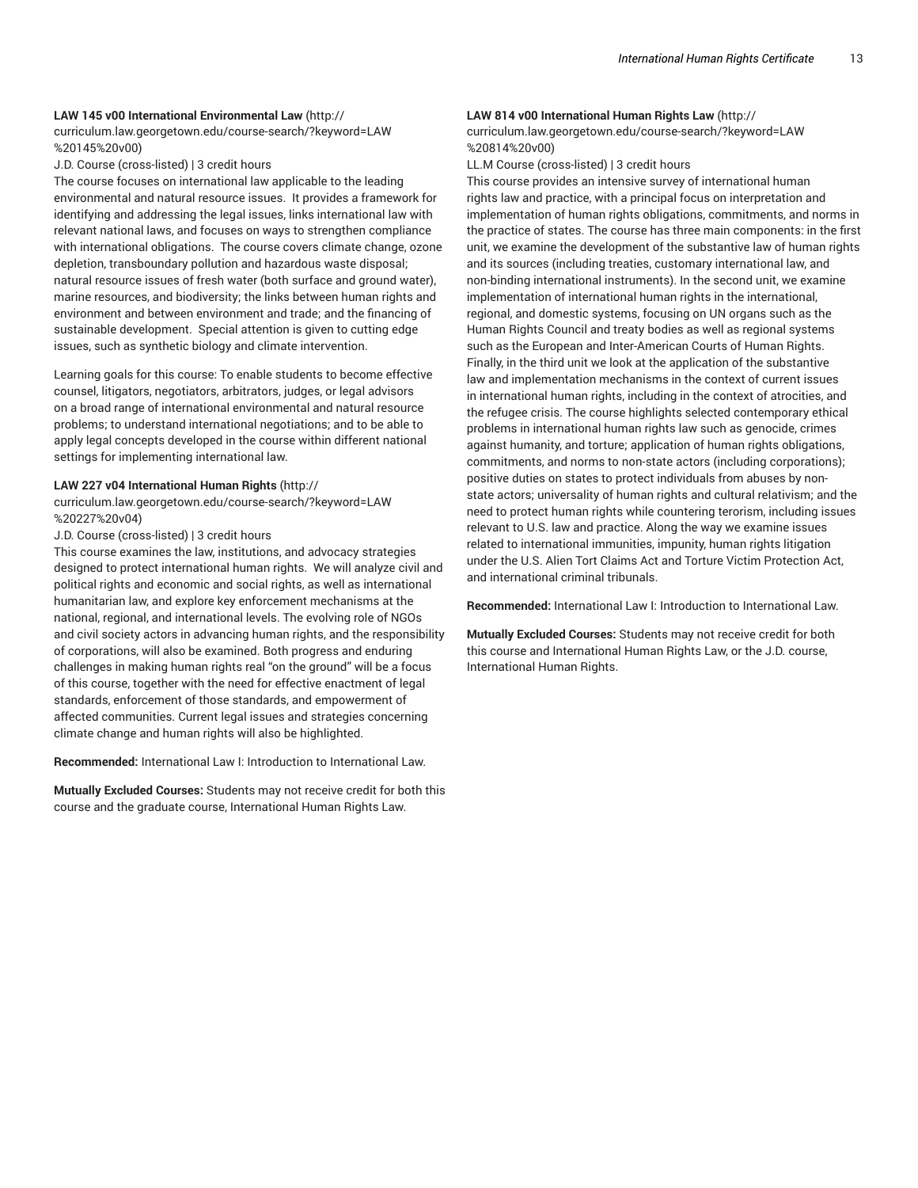## **LAW 145 v00 International Environmental Law** (http://

curriculum.law.georgetown.edu/course-search/?keyword=LAW %20145%20v00)

J.D. Course (cross-listed) | 3 credit hours

The course focuses on international law applicable to the leading environmental and natural resource issues. It provides a framework for identifying and addressing the legal issues, links international law with relevant national laws, and focuses on ways to strengthen compliance with international obligations. The course covers climate change, ozone depletion, transboundary pollution and hazardous waste disposal; natural resource issues of fresh water (both surface and ground water), marine resources, and biodiversity; the links between human rights and environment and between environment and trade; and the financing of sustainable development. Special attention is given to cutting edge issues, such as synthetic biology and climate intervention.

Learning goals for this course: To enable students to become effective counsel, litigators, negotiators, arbitrators, judges, or legal advisors on a broad range of international environmental and natural resource problems; to understand international negotiations; and to be able to apply legal concepts developed in the course within different national settings for implementing international law.

#### **LAW 227 v04 International Human Rights** (http://

curriculum.law.georgetown.edu/course-search/?keyword=LAW %20227%20v04)

J.D. Course (cross-listed) | 3 credit hours

This course examines the law, institutions, and advocacy strategies designed to protect international human rights. We will analyze civil and political rights and economic and social rights, as well as international humanitarian law, and explore key enforcement mechanisms at the national, regional, and international levels. The evolving role of NGOs and civil society actors in advancing human rights, and the responsibility of corporations, will also be examined. Both progress and enduring challenges in making human rights real "on the ground" will be a focus of this course, together with the need for effective enactment of legal standards, enforcement of those standards, and empowerment of affected communities. Current legal issues and strategies concerning climate change and human rights will also be highlighted.

**Recommended:** International Law I: Introduction to International Law.

**Mutually Excluded Courses:** Students may not receive credit for both this course and the graduate course, International Human Rights Law.

#### **LAW 814 v00 International Human Rights Law** (http://

curriculum.law.georgetown.edu/course-search/?keyword=LAW %20814%20v00)

LL.M Course (cross-listed) | 3 credit hours

This course provides an intensive survey of international human rights law and practice, with a principal focus on interpretation and implementation of human rights obligations, commitments, and norms in the practice of states. The course has three main components: in the first unit, we examine the development of the substantive law of human rights and its sources (including treaties, customary international law, and non-binding international instruments). In the second unit, we examine implementation of international human rights in the international, regional, and domestic systems, focusing on UN organs such as the Human Rights Council and treaty bodies as well as regional systems such as the European and Inter-American Courts of Human Rights. Finally, in the third unit we look at the application of the substantive law and implementation mechanisms in the context of current issues in international human rights, including in the context of atrocities, and the refugee crisis. The course highlights selected contemporary ethical problems in international human rights law such as genocide, crimes against humanity, and torture; application of human rights obligations, commitments, and norms to non-state actors (including corporations); positive duties on states to protect individuals from abuses by nonstate actors; universality of human rights and cultural relativism; and the need to protect human rights while countering terorism, including issues relevant to U.S. law and practice. Along the way we examine issues related to international immunities, impunity, human rights litigation under the U.S. Alien Tort Claims Act and Torture Victim Protection Act, and international criminal tribunals.

**Recommended:** International Law I: Introduction to International Law.

**Mutually Excluded Courses:** Students may not receive credit for both this course and International Human Rights Law, or the J.D. course, International Human Rights.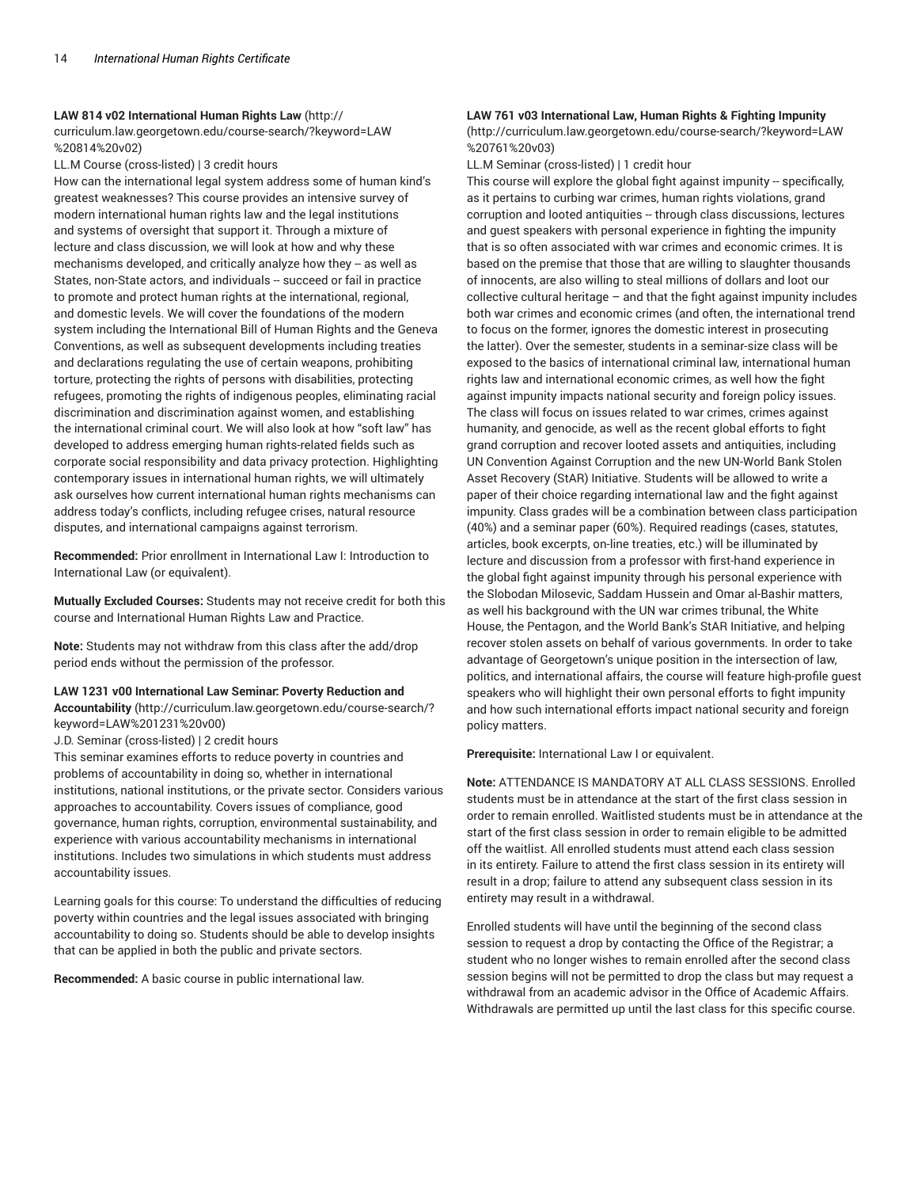#### **LAW 814 v02 International Human Rights Law** (http://

curriculum.law.georgetown.edu/course-search/?keyword=LAW %20814%20v02)

LL.M Course (cross-listed) | 3 credit hours

How can the international legal system address some of human kind's greatest weaknesses? This course provides an intensive survey of modern international human rights law and the legal institutions and systems of oversight that support it. Through a mixture of lecture and class discussion, we will look at how and why these mechanisms developed, and critically analyze how they -- as well as States, non-State actors, and individuals -- succeed or fail in practice to promote and protect human rights at the international, regional, and domestic levels. We will cover the foundations of the modern system including the International Bill of Human Rights and the Geneva Conventions, as well as subsequent developments including treaties and declarations regulating the use of certain weapons, prohibiting torture, protecting the rights of persons with disabilities, protecting refugees, promoting the rights of indigenous peoples, eliminating racial discrimination and discrimination against women, and establishing the international criminal court. We will also look at how "soft law" has developed to address emerging human rights-related fields such as corporate social responsibility and data privacy protection. Highlighting contemporary issues in international human rights, we will ultimately ask ourselves how current international human rights mechanisms can address today's conflicts, including refugee crises, natural resource disputes, and international campaigns against terrorism.

**Recommended:** Prior enrollment in International Law I: Introduction to International Law (or equivalent).

**Mutually Excluded Courses:** Students may not receive credit for both this course and International Human Rights Law and Practice.

**Note:** Students may not withdraw from this class after the add/drop period ends without the permission of the professor.

## **LAW 1231 v00 International Law Seminar: Poverty Reduction and Accountability** (http://curriculum.law.georgetown.edu/course-search/? keyword=LAW%201231%20v00)

J.D. Seminar (cross-listed) | 2 credit hours

This seminar examines efforts to reduce poverty in countries and problems of accountability in doing so, whether in international institutions, national institutions, or the private sector. Considers various approaches to accountability. Covers issues of compliance, good governance, human rights, corruption, environmental sustainability, and experience with various accountability mechanisms in international institutions. Includes two simulations in which students must address accountability issues.

Learning goals for this course: To understand the difficulties of reducing poverty within countries and the legal issues associated with bringing accountability to doing so. Students should be able to develop insights that can be applied in both the public and private sectors.

**Recommended:** A basic course in public international law.

# **LAW 761 v03 International Law, Human Rights & Fighting Impunity**

(http://curriculum.law.georgetown.edu/course-search/?keyword=LAW %20761%20v03)

LL.M Seminar (cross-listed) | 1 credit hour

This course will explore the global fight against impunity -- specifically, as it pertains to curbing war crimes, human rights violations, grand corruption and looted antiquities -- through class discussions, lectures and guest speakers with personal experience in fighting the impunity that is so often associated with war crimes and economic crimes. It is based on the premise that those that are willing to slaughter thousands of innocents, are also willing to steal millions of dollars and loot our collective cultural heritage – and that the fight against impunity includes both war crimes and economic crimes (and often, the international trend to focus on the former, ignores the domestic interest in prosecuting the latter). Over the semester, students in a seminar-size class will be exposed to the basics of international criminal law, international human rights law and international economic crimes, as well how the fight against impunity impacts national security and foreign policy issues. The class will focus on issues related to war crimes, crimes against humanity, and genocide, as well as the recent global efforts to fight grand corruption and recover looted assets and antiquities, including UN Convention Against Corruption and the new UN-World Bank Stolen Asset Recovery (StAR) Initiative. Students will be allowed to write a paper of their choice regarding international law and the fight against impunity. Class grades will be a combination between class participation (40%) and a seminar paper (60%). Required readings (cases, statutes, articles, book excerpts, on-line treaties, etc.) will be illuminated by lecture and discussion from a professor with first-hand experience in the global fight against impunity through his personal experience with the Slobodan Milosevic, Saddam Hussein and Omar al-Bashir matters, as well his background with the UN war crimes tribunal, the White House, the Pentagon, and the World Bank's StAR Initiative, and helping recover stolen assets on behalf of various governments. In order to take advantage of Georgetown's unique position in the intersection of law, politics, and international affairs, the course will feature high-profile guest speakers who will highlight their own personal efforts to fight impunity and how such international efforts impact national security and foreign policy matters.

**Prerequisite:** International Law I or equivalent.

**Note:** ATTENDANCE IS MANDATORY AT ALL CLASS SESSIONS. Enrolled students must be in attendance at the start of the first class session in order to remain enrolled. Waitlisted students must be in attendance at the start of the first class session in order to remain eligible to be admitted off the waitlist. All enrolled students must attend each class session in its entirety. Failure to attend the first class session in its entirety will result in a drop; failure to attend any subsequent class session in its entirety may result in a withdrawal.

Enrolled students will have until the beginning of the second class session to request a drop by contacting the Office of the Registrar; a student who no longer wishes to remain enrolled after the second class session begins will not be permitted to drop the class but may request a withdrawal from an academic advisor in the Office of Academic Affairs. Withdrawals are permitted up until the last class for this specific course.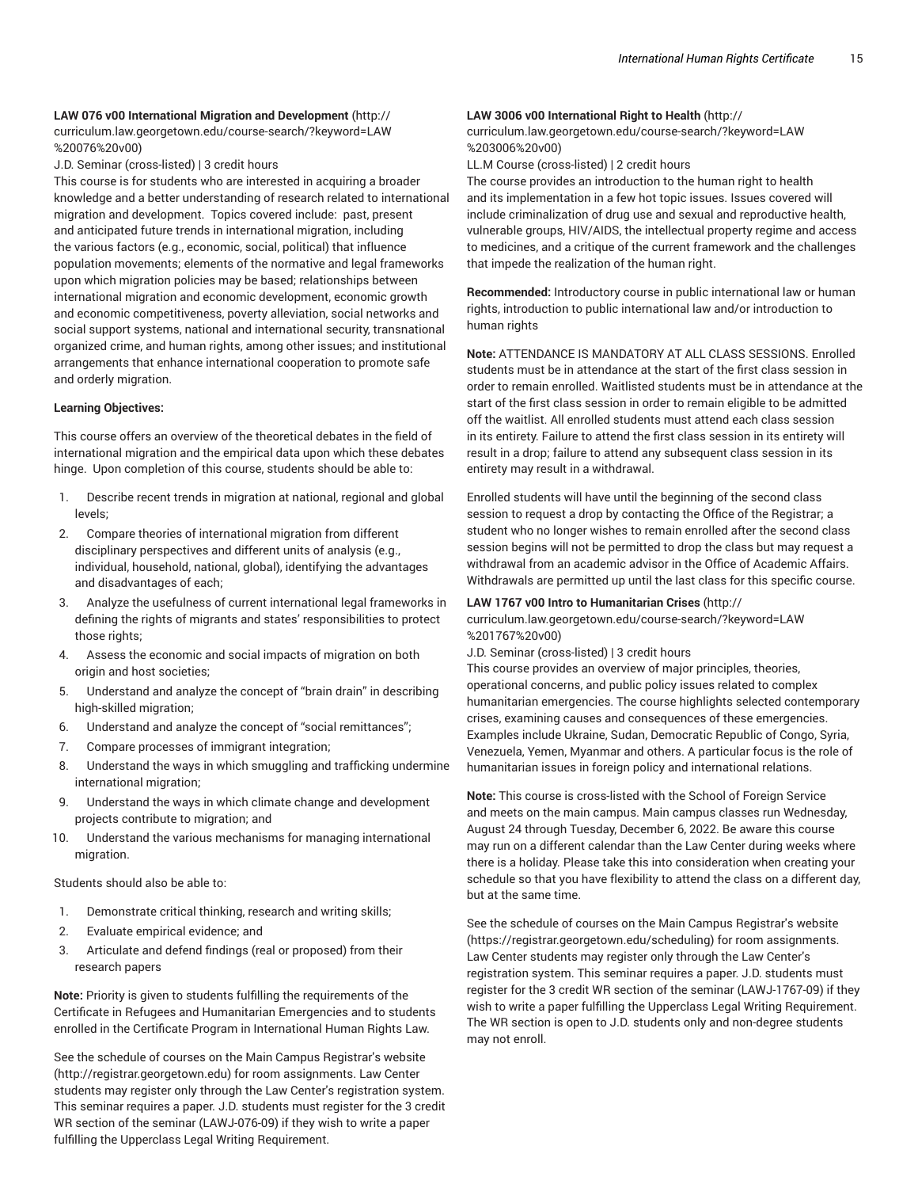# **LAW 076 v00 International Migration and Development** (http://

curriculum.law.georgetown.edu/course-search/?keyword=LAW %20076%20v00)

J.D. Seminar (cross-listed) | 3 credit hours

This course is for students who are interested in acquiring a broader knowledge and a better understanding of research related to international migration and development. Topics covered include: past, present and anticipated future trends in international migration, including the various factors (e.g., economic, social, political) that influence population movements; elements of the normative and legal frameworks upon which migration policies may be based; relationships between international migration and economic development, economic growth and economic competitiveness, poverty alleviation, social networks and social support systems, national and international security, transnational organized crime, and human rights, among other issues; and institutional arrangements that enhance international cooperation to promote safe and orderly migration.

#### **Learning Objectives:**

This course offers an overview of the theoretical debates in the field of international migration and the empirical data upon which these debates hinge. Upon completion of this course, students should be able to:

- 1. Describe recent trends in migration at national, regional and global levels;
- 2. Compare theories of international migration from different disciplinary perspectives and different units of analysis (e.g., individual, household, national, global), identifying the advantages and disadvantages of each;
- 3. Analyze the usefulness of current international legal frameworks in defining the rights of migrants and states' responsibilities to protect those rights;
- 4. Assess the economic and social impacts of migration on both origin and host societies;
- 5. Understand and analyze the concept of "brain drain" in describing high-skilled migration;
- 6. Understand and analyze the concept of "social remittances";
- 7. Compare processes of immigrant integration;
- 8. Understand the ways in which smuggling and trafficking undermine international migration;
- 9. Understand the ways in which climate change and development projects contribute to migration; and
- 10. Understand the various mechanisms for managing international migration.

Students should also be able to:

- 1. Demonstrate critical thinking, research and writing skills;
- 2. Evaluate empirical evidence; and
- 3. Articulate and defend findings (real or proposed) from their research papers

**Note:** Priority is given to students fulfilling the requirements of the Certificate in Refugees and Humanitarian Emergencies and to students enrolled in the Certificate Program in International Human Rights Law.

See the schedule of courses on the Main Campus Registrar's website (http://registrar.georgetown.edu) for room assignments. Law Center students may register only through the Law Center's registration system. This seminar requires a paper. J.D. students must register for the 3 credit WR section of the seminar (LAWJ-076-09) if they wish to write a paper fulfilling the Upperclass Legal Writing Requirement.

#### **LAW 3006 v00 International Right to Health** (http://

curriculum.law.georgetown.edu/course-search/?keyword=LAW %203006%20v00)

LL.M Course (cross-listed) | 2 credit hours

The course provides an introduction to the human right to health and its implementation in a few hot topic issues. Issues covered will include criminalization of drug use and sexual and reproductive health, vulnerable groups, HIV/AIDS, the intellectual property regime and access to medicines, and a critique of the current framework and the challenges that impede the realization of the human right.

**Recommended:** Introductory course in public international law or human rights, introduction to public international law and/or introduction to human rights

**Note:** ATTENDANCE IS MANDATORY AT ALL CLASS SESSIONS. Enrolled students must be in attendance at the start of the first class session in order to remain enrolled. Waitlisted students must be in attendance at the start of the first class session in order to remain eligible to be admitted off the waitlist. All enrolled students must attend each class session in its entirety. Failure to attend the first class session in its entirety will result in a drop; failure to attend any subsequent class session in its entirety may result in a withdrawal.

Enrolled students will have until the beginning of the second class session to request a drop by contacting the Office of the Registrar; a student who no longer wishes to remain enrolled after the second class session begins will not be permitted to drop the class but may request a withdrawal from an academic advisor in the Office of Academic Affairs. Withdrawals are permitted up until the last class for this specific course.

# **LAW 1767 v00 Intro to Humanitarian Crises** (http://

curriculum.law.georgetown.edu/course-search/?keyword=LAW %201767%20v00)

J.D. Seminar (cross-listed) | 3 credit hours

This course provides an overview of major principles, theories, operational concerns, and public policy issues related to complex humanitarian emergencies. The course highlights selected contemporary crises, examining causes and consequences of these emergencies. Examples include Ukraine, Sudan, Democratic Republic of Congo, Syria, Venezuela, Yemen, Myanmar and others. A particular focus is the role of humanitarian issues in foreign policy and international relations.

**Note:** This course is cross-listed with the School of Foreign Service and meets on the main campus. Main campus classes run Wednesday, August 24 through Tuesday, December 6, 2022. Be aware this course may run on a different calendar than the Law Center during weeks where there is a holiday. Please take this into consideration when creating your schedule so that you have flexibility to attend the class on a different day, but at the same time.

See the schedule of courses on the Main Campus Registrar's website (https://registrar.georgetown.edu/scheduling) for room assignments. Law Center students may register only through the Law Center's registration system. This seminar requires a paper. J.D. students must register for the 3 credit WR section of the seminar (LAWJ-1767-09) if they wish to write a paper fulfilling the Upperclass Legal Writing Requirement. The WR section is open to J.D. students only and non-degree students may not enroll.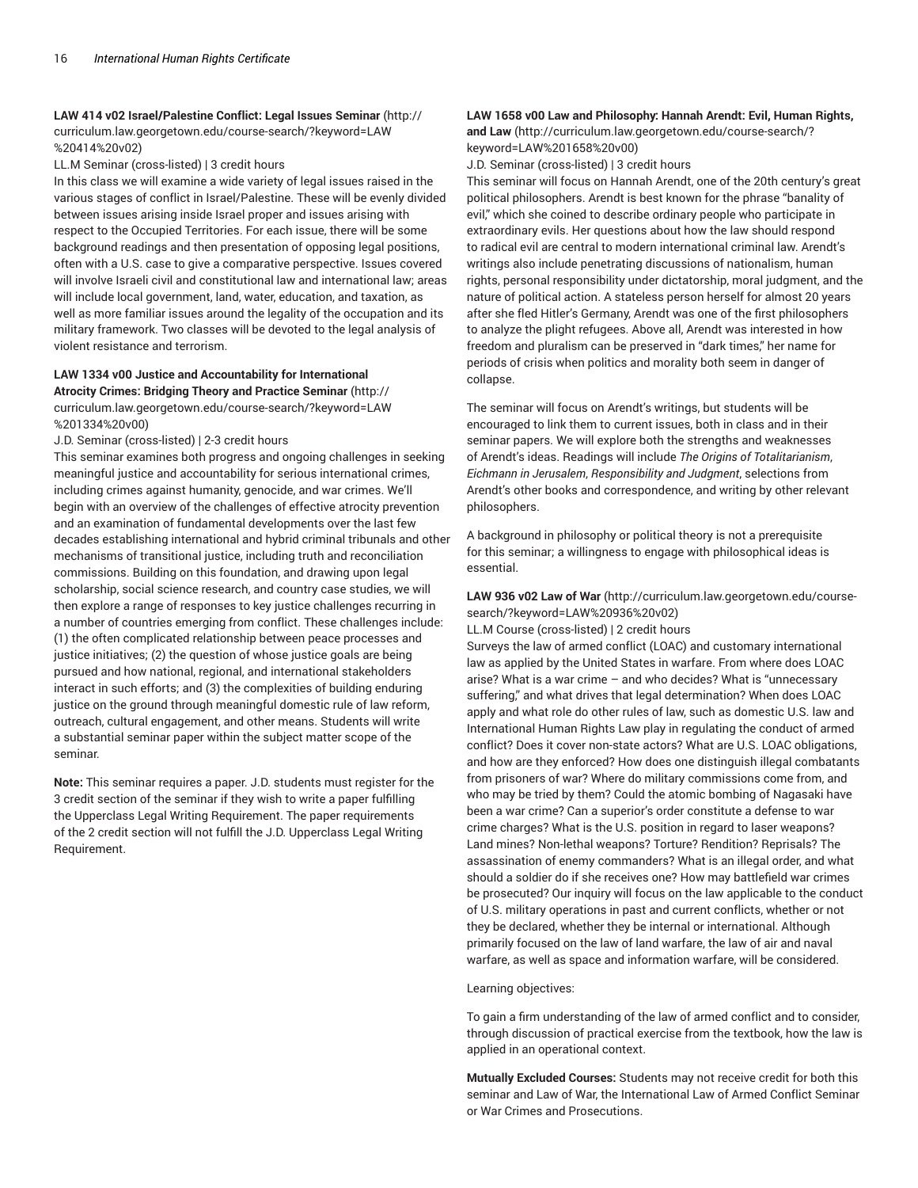# **LAW 414 v02 Israel/Palestine Conflict: Legal Issues Seminar** (http:// curriculum.law.georgetown.edu/course-search/?keyword=LAW %20414%20v02)

LL.M Seminar (cross-listed) | 3 credit hours

In this class we will examine a wide variety of legal issues raised in the various stages of conflict in Israel/Palestine. These will be evenly divided between issues arising inside Israel proper and issues arising with respect to the Occupied Territories. For each issue, there will be some background readings and then presentation of opposing legal positions, often with a U.S. case to give a comparative perspective. Issues covered will involve Israeli civil and constitutional law and international law; areas will include local government, land, water, education, and taxation, as well as more familiar issues around the legality of the occupation and its military framework. Two classes will be devoted to the legal analysis of violent resistance and terrorism.

#### **LAW 1334 v00 Justice and Accountability for International Atrocity Crimes: Bridging Theory and Practice Seminar** (http://

curriculum.law.georgetown.edu/course-search/?keyword=LAW %201334%20v00)

J.D. Seminar (cross-listed) | 2-3 credit hours

This seminar examines both progress and ongoing challenges in seeking meaningful justice and accountability for serious international crimes, including crimes against humanity, genocide, and war crimes. We'll begin with an overview of the challenges of effective atrocity prevention and an examination of fundamental developments over the last few decades establishing international and hybrid criminal tribunals and other mechanisms of transitional justice, including truth and reconciliation commissions. Building on this foundation, and drawing upon legal scholarship, social science research, and country case studies, we will then explore a range of responses to key justice challenges recurring in a number of countries emerging from conflict. These challenges include: (1) the often complicated relationship between peace processes and justice initiatives; (2) the question of whose justice goals are being pursued and how national, regional, and international stakeholders interact in such efforts; and (3) the complexities of building enduring justice on the ground through meaningful domestic rule of law reform, outreach, cultural engagement, and other means. Students will write a substantial seminar paper within the subject matter scope of the seminar.

**Note:** This seminar requires a paper. J.D. students must register for the 3 credit section of the seminar if they wish to write a paper fulfilling the Upperclass Legal Writing Requirement. The paper requirements of the 2 credit section will not fulfill the J.D. Upperclass Legal Writing Requirement.

# **LAW 1658 v00 Law and Philosophy: Hannah Arendt: Evil, Human Rights,**

**and Law** (http://curriculum.law.georgetown.edu/course-search/? keyword=LAW%201658%20v00)

J.D. Seminar (cross-listed) | 3 credit hours

This seminar will focus on Hannah Arendt, one of the 20th century's great political philosophers. Arendt is best known for the phrase "banality of evil," which she coined to describe ordinary people who participate in extraordinary evils. Her questions about how the law should respond to radical evil are central to modern international criminal law. Arendt's writings also include penetrating discussions of nationalism, human rights, personal responsibility under dictatorship, moral judgment, and the nature of political action. A stateless person herself for almost 20 years after she fled Hitler's Germany, Arendt was one of the first philosophers to analyze the plight refugees. Above all, Arendt was interested in how freedom and pluralism can be preserved in "dark times," her name for periods of crisis when politics and morality both seem in danger of collapse.

The seminar will focus on Arendt's writings, but students will be encouraged to link them to current issues, both in class and in their seminar papers. We will explore both the strengths and weaknesses of Arendt's ideas. Readings will include *The Origins of Totalitarianism*, *Eichmann in Jerusalem*, *Responsibility and Judgment*, selections from Arendt's other books and correspondence, and writing by other relevant philosophers.

A background in philosophy or political theory is not a prerequisite for this seminar; a willingness to engage with philosophical ideas is essential.

**LAW 936 v02 Law of War** (http://curriculum.law.georgetown.edu/coursesearch/?keyword=LAW%20936%20v02)

LL.M Course (cross-listed) | 2 credit hours

Surveys the law of armed conflict (LOAC) and customary international law as applied by the United States in warfare. From where does LOAC arise? What is a war crime – and who decides? What is "unnecessary suffering," and what drives that legal determination? When does LOAC apply and what role do other rules of law, such as domestic U.S. law and International Human Rights Law play in regulating the conduct of armed conflict? Does it cover non-state actors? What are U.S. LOAC obligations, and how are they enforced? How does one distinguish illegal combatants from prisoners of war? Where do military commissions come from, and who may be tried by them? Could the atomic bombing of Nagasaki have been a war crime? Can a superior's order constitute a defense to war crime charges? What is the U.S. position in regard to laser weapons? Land mines? Non-lethal weapons? Torture? Rendition? Reprisals? The assassination of enemy commanders? What is an illegal order, and what should a soldier do if she receives one? How may battlefield war crimes be prosecuted? Our inquiry will focus on the law applicable to the conduct of U.S. military operations in past and current conflicts, whether or not they be declared, whether they be internal or international. Although primarily focused on the law of land warfare, the law of air and naval warfare, as well as space and information warfare, will be considered.

#### Learning objectives:

To gain a firm understanding of the law of armed conflict and to consider, through discussion of practical exercise from the textbook, how the law is applied in an operational context.

**Mutually Excluded Courses:** Students may not receive credit for both this seminar and Law of War, the International Law of Armed Conflict Seminar or War Crimes and Prosecutions.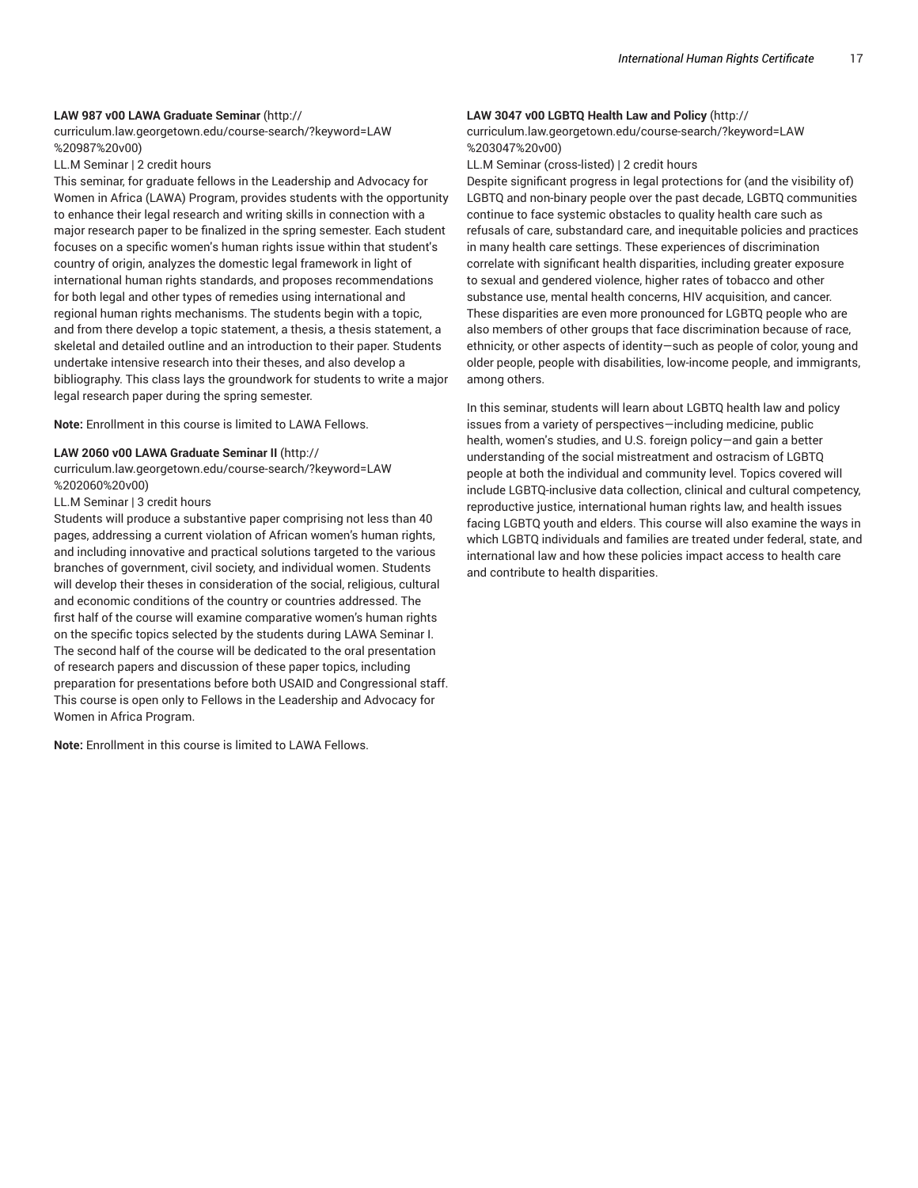#### **LAW 987 v00 LAWA Graduate Seminar** (http://

curriculum.law.georgetown.edu/course-search/?keyword=LAW %20987%20v00)

#### LL.M Seminar | 2 credit hours

This seminar, for graduate fellows in the Leadership and Advocacy for Women in Africa (LAWA) Program, provides students with the opportunity to enhance their legal research and writing skills in connection with a major research paper to be finalized in the spring semester. Each student focuses on a specific women's human rights issue within that student's country of origin, analyzes the domestic legal framework in light of international human rights standards, and proposes recommendations for both legal and other types of remedies using international and regional human rights mechanisms. The students begin with a topic, and from there develop a topic statement, a thesis, a thesis statement, a skeletal and detailed outline and an introduction to their paper. Students undertake intensive research into their theses, and also develop a bibliography. This class lays the groundwork for students to write a major legal research paper during the spring semester.

**Note:** Enrollment in this course is limited to LAWA Fellows.

#### **LAW 2060 v00 LAWA Graduate Seminar II** (http://

curriculum.law.georgetown.edu/course-search/?keyword=LAW %202060%20v00)

LL.M Seminar | 3 credit hours

Students will produce a substantive paper comprising not less than 40 pages, addressing a current violation of African women's human rights, and including innovative and practical solutions targeted to the various branches of government, civil society, and individual women. Students will develop their theses in consideration of the social, religious, cultural and economic conditions of the country or countries addressed. The first half of the course will examine comparative women's human rights on the specific topics selected by the students during LAWA Seminar I. The second half of the course will be dedicated to the oral presentation of research papers and discussion of these paper topics, including preparation for presentations before both USAID and Congressional staff. This course is open only to Fellows in the Leadership and Advocacy for Women in Africa Program.

**Note:** Enrollment in this course is limited to LAWA Fellows.

#### **LAW 3047 v00 LGBTQ Health Law and Policy** (http://

curriculum.law.georgetown.edu/course-search/?keyword=LAW %203047%20v00)

LL.M Seminar (cross-listed) | 2 credit hours

Despite significant progress in legal protections for (and the visibility of) LGBTQ and non-binary people over the past decade, LGBTQ communities continue to face systemic obstacles to quality health care such as refusals of care, substandard care, and inequitable policies and practices in many health care settings. These experiences of discrimination correlate with significant health disparities, including greater exposure to sexual and gendered violence, higher rates of tobacco and other substance use, mental health concerns, HIV acquisition, and cancer. These disparities are even more pronounced for LGBTQ people who are also members of other groups that face discrimination because of race, ethnicity, or other aspects of identity—such as people of color, young and older people, people with disabilities, low-income people, and immigrants, among others.

In this seminar, students will learn about LGBTQ health law and policy issues from a variety of perspectives—including medicine, public health, women's studies, and U.S. foreign policy—and gain a better understanding of the social mistreatment and ostracism of LGBTQ people at both the individual and community level. Topics covered will include LGBTQ-inclusive data collection, clinical and cultural competency, reproductive justice, international human rights law, and health issues facing LGBTQ youth and elders. This course will also examine the ways in which LGBTQ individuals and families are treated under federal, state, and international law and how these policies impact access to health care and contribute to health disparities.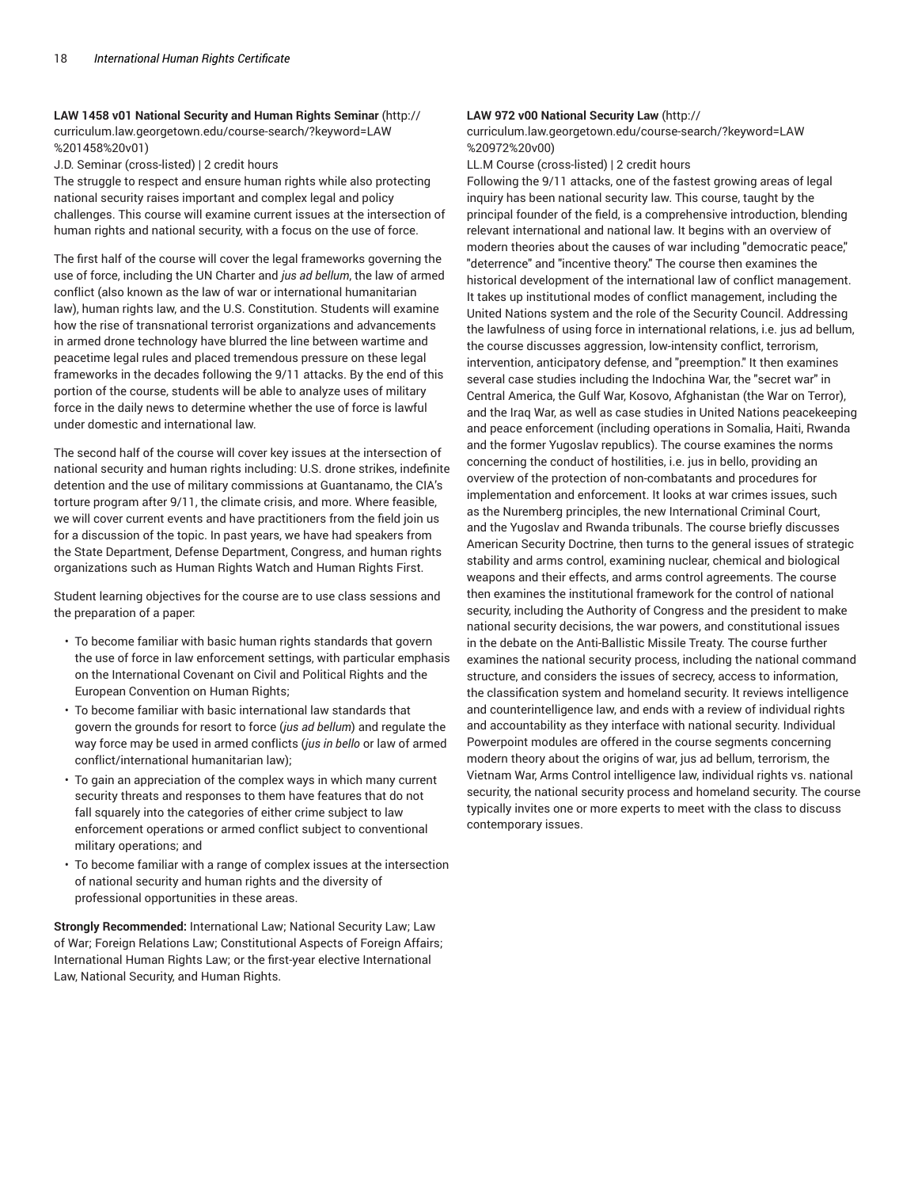**LAW 1458 v01 National Security and Human Rights Seminar** (http:// curriculum.law.georgetown.edu/course-search/?keyword=LAW %201458%20v01)

J.D. Seminar (cross-listed) | 2 credit hours

The struggle to respect and ensure human rights while also protecting national security raises important and complex legal and policy challenges. This course will examine current issues at the intersection of human rights and national security, with a focus on the use of force.

The first half of the course will cover the legal frameworks governing the use of force, including the UN Charter and *jus ad bellum*, the law of armed conflict (also known as the law of war or international humanitarian law), human rights law, and the U.S. Constitution. Students will examine how the rise of transnational terrorist organizations and advancements in armed drone technology have blurred the line between wartime and peacetime legal rules and placed tremendous pressure on these legal frameworks in the decades following the 9/11 attacks. By the end of this portion of the course, students will be able to analyze uses of military force in the daily news to determine whether the use of force is lawful under domestic and international law.

The second half of the course will cover key issues at the intersection of national security and human rights including: U.S. drone strikes, indefinite detention and the use of military commissions at Guantanamo, the CIA's torture program after 9/11, the climate crisis, and more. Where feasible, we will cover current events and have practitioners from the field join us for a discussion of the topic. In past years, we have had speakers from the State Department, Defense Department, Congress, and human rights organizations such as Human Rights Watch and Human Rights First.

Student learning objectives for the course are to use class sessions and the preparation of a paper:

- To become familiar with basic human rights standards that govern the use of force in law enforcement settings, with particular emphasis on the International Covenant on Civil and Political Rights and the European Convention on Human Rights;
- To become familiar with basic international law standards that govern the grounds for resort to force (*jus ad bellum*) and regulate the way force may be used in armed conflicts (*jus in bello* or law of armed conflict/international humanitarian law);
- To gain an appreciation of the complex ways in which many current security threats and responses to them have features that do not fall squarely into the categories of either crime subject to law enforcement operations or armed conflict subject to conventional military operations; and
- To become familiar with a range of complex issues at the intersection of national security and human rights and the diversity of professional opportunities in these areas.

**Strongly Recommended:** International Law; National Security Law; Law of War; Foreign Relations Law; Constitutional Aspects of Foreign Affairs; International Human Rights Law; or the first-year elective International Law, National Security, and Human Rights.

# **LAW 972 v00 National Security Law** (http://

curriculum.law.georgetown.edu/course-search/?keyword=LAW %20972%20v00)

LL.M Course (cross-listed) | 2 credit hours

Following the 9/11 attacks, one of the fastest growing areas of legal inquiry has been national security law. This course, taught by the principal founder of the field, is a comprehensive introduction, blending relevant international and national law. It begins with an overview of modern theories about the causes of war including "democratic peace," "deterrence" and "incentive theory." The course then examines the historical development of the international law of conflict management. It takes up institutional modes of conflict management, including the United Nations system and the role of the Security Council. Addressing the lawfulness of using force in international relations, i.e. jus ad bellum, the course discusses aggression, low-intensity conflict, terrorism, intervention, anticipatory defense, and "preemption." It then examines several case studies including the Indochina War, the "secret war" in Central America, the Gulf War, Kosovo, Afghanistan (the War on Terror), and the Iraq War, as well as case studies in United Nations peacekeeping and peace enforcement (including operations in Somalia, Haiti, Rwanda and the former Yugoslav republics). The course examines the norms concerning the conduct of hostilities, i.e. jus in bello, providing an overview of the protection of non-combatants and procedures for implementation and enforcement. It looks at war crimes issues, such as the Nuremberg principles, the new International Criminal Court, and the Yugoslav and Rwanda tribunals. The course briefly discusses American Security Doctrine, then turns to the general issues of strategic stability and arms control, examining nuclear, chemical and biological weapons and their effects, and arms control agreements. The course then examines the institutional framework for the control of national security, including the Authority of Congress and the president to make national security decisions, the war powers, and constitutional issues in the debate on the Anti-Ballistic Missile Treaty. The course further examines the national security process, including the national command structure, and considers the issues of secrecy, access to information, the classification system and homeland security. It reviews intelligence and counterintelligence law, and ends with a review of individual rights and accountability as they interface with national security. Individual Powerpoint modules are offered in the course segments concerning modern theory about the origins of war, jus ad bellum, terrorism, the Vietnam War, Arms Control intelligence law, individual rights vs. national security, the national security process and homeland security. The course typically invites one or more experts to meet with the class to discuss contemporary issues.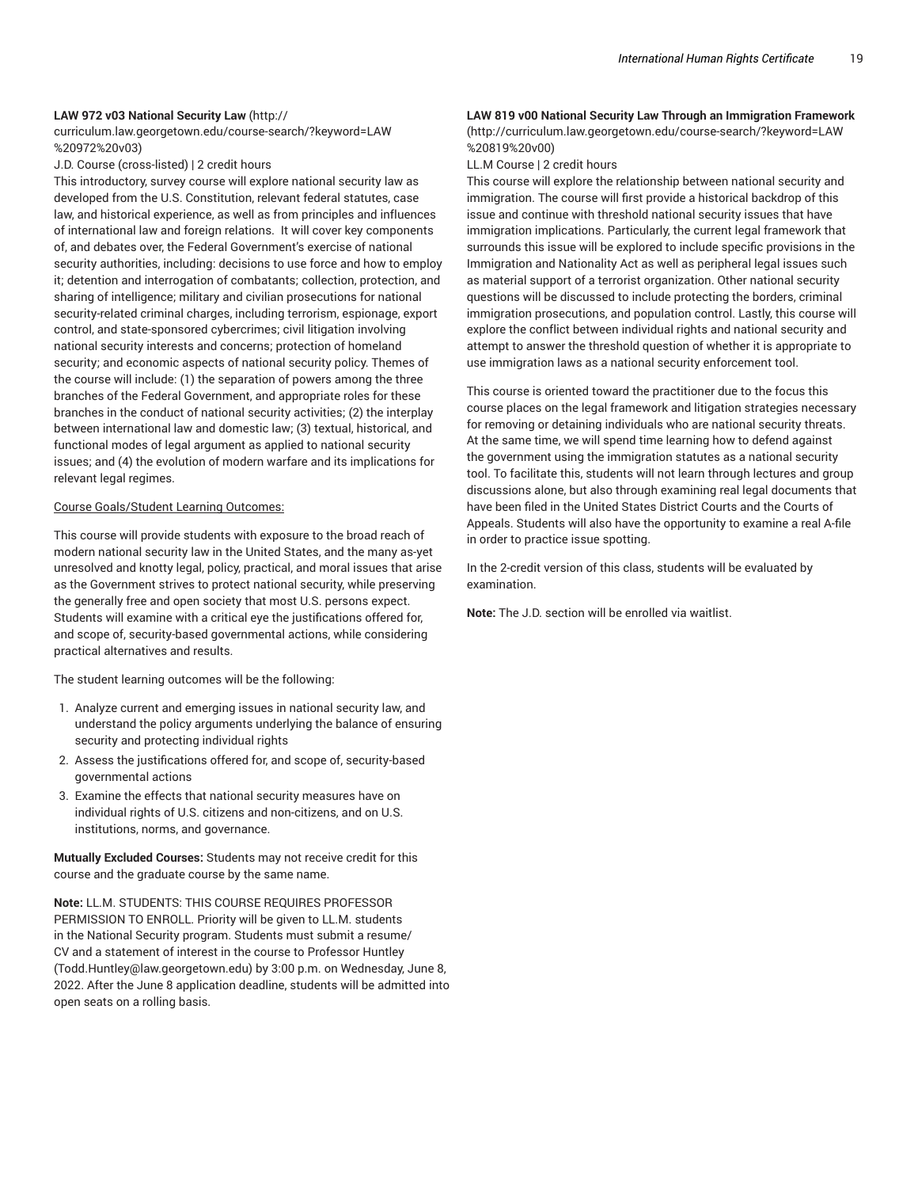## **LAW 972 v03 National Security Law** (http://

curriculum.law.georgetown.edu/course-search/?keyword=LAW %20972%20v03)

J.D. Course (cross-listed) | 2 credit hours

This introductory, survey course will explore national security law as developed from the U.S. Constitution, relevant federal statutes, case law, and historical experience, as well as from principles and influences of international law and foreign relations. It will cover key components of, and debates over, the Federal Government's exercise of national security authorities, including: decisions to use force and how to employ it; detention and interrogation of combatants; collection, protection, and sharing of intelligence; military and civilian prosecutions for national security-related criminal charges, including terrorism, espionage, export control, and state-sponsored cybercrimes; civil litigation involving national security interests and concerns; protection of homeland security; and economic aspects of national security policy. Themes of the course will include: (1) the separation of powers among the three branches of the Federal Government, and appropriate roles for these branches in the conduct of national security activities; (2) the interplay between international law and domestic law; (3) textual, historical, and functional modes of legal argument as applied to national security issues; and (4) the evolution of modern warfare and its implications for relevant legal regimes.

#### Course Goals/Student Learning Outcomes:

This course will provide students with exposure to the broad reach of modern national security law in the United States, and the many as-yet unresolved and knotty legal, policy, practical, and moral issues that arise as the Government strives to protect national security, while preserving the generally free and open society that most U.S. persons expect. Students will examine with a critical eye the justifications offered for, and scope of, security-based governmental actions, while considering practical alternatives and results.

The student learning outcomes will be the following:

- 1. Analyze current and emerging issues in national security law, and understand the policy arguments underlying the balance of ensuring security and protecting individual rights
- 2. Assess the justifications offered for, and scope of, security-based governmental actions
- 3. Examine the effects that national security measures have on individual rights of U.S. citizens and non-citizens, and on U.S. institutions, norms, and governance.

**Mutually Excluded Courses:** Students may not receive credit for this course and the graduate course by the same name.

**Note:** LL.M. STUDENTS: THIS COURSE REQUIRES PROFESSOR PERMISSION TO ENROLL. Priority will be given to LL.M. students in the National Security program. Students must submit a resume/ CV and a statement of interest in the course to Professor Huntley (Todd.Huntley@law.georgetown.edu) by 3:00 p.m. on Wednesday, June 8, 2022. After the June 8 application deadline, students will be admitted into open seats on a rolling basis.

# **LAW 819 v00 National Security Law Through an Immigration Framework**

(http://curriculum.law.georgetown.edu/course-search/?keyword=LAW %20819%20v00)

LL.M Course | 2 credit hours

This course will explore the relationship between national security and immigration. The course will first provide a historical backdrop of this issue and continue with threshold national security issues that have immigration implications. Particularly, the current legal framework that surrounds this issue will be explored to include specific provisions in the Immigration and Nationality Act as well as peripheral legal issues such as material support of a terrorist organization. Other national security questions will be discussed to include protecting the borders, criminal immigration prosecutions, and population control. Lastly, this course will explore the conflict between individual rights and national security and attempt to answer the threshold question of whether it is appropriate to use immigration laws as a national security enforcement tool.

This course is oriented toward the practitioner due to the focus this course places on the legal framework and litigation strategies necessary for removing or detaining individuals who are national security threats. At the same time, we will spend time learning how to defend against the government using the immigration statutes as a national security tool. To facilitate this, students will not learn through lectures and group discussions alone, but also through examining real legal documents that have been filed in the United States District Courts and the Courts of Appeals. Students will also have the opportunity to examine a real A-file in order to practice issue spotting.

In the 2-credit version of this class, students will be evaluated by examination.

**Note:** The J.D. section will be enrolled via waitlist.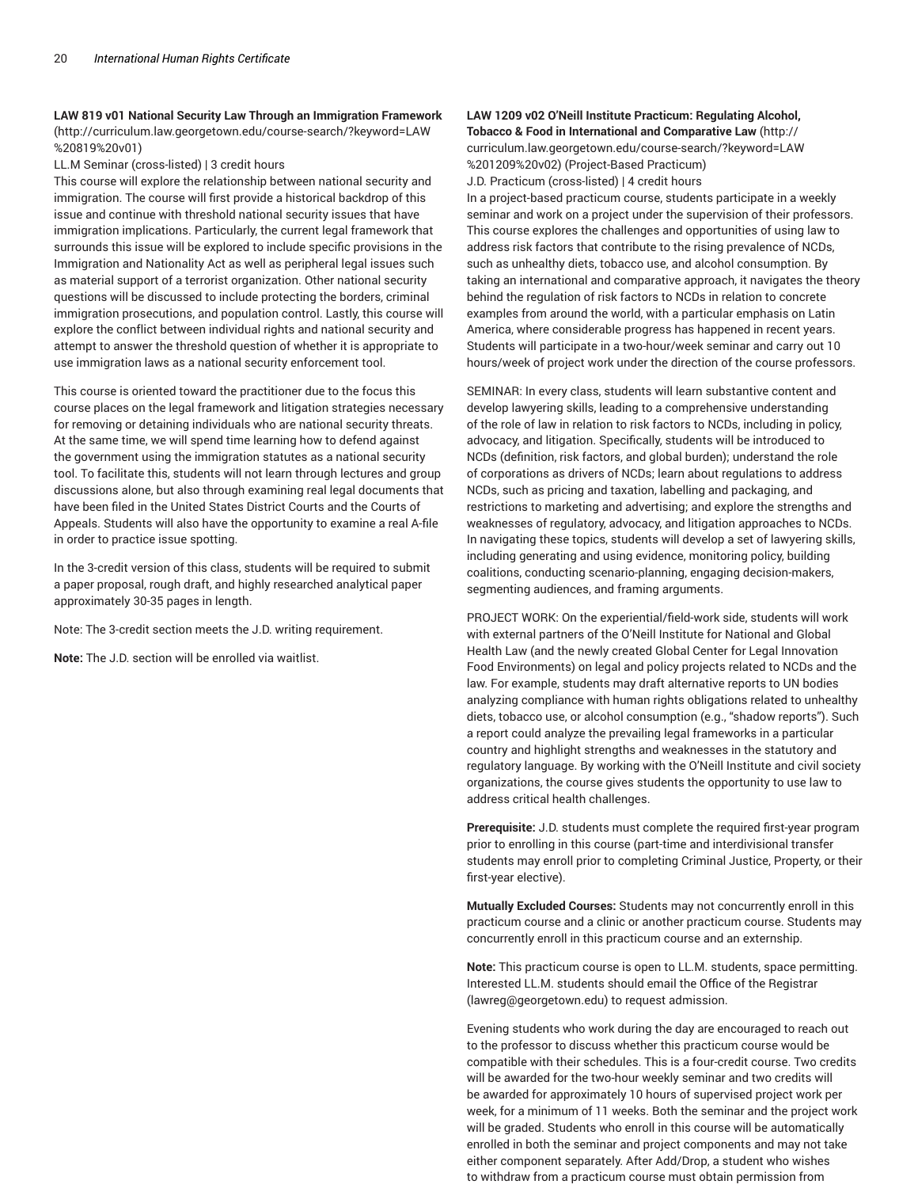**LAW 819 v01 National Security Law Through an Immigration Framework** (http://curriculum.law.georgetown.edu/course-search/?keyword=LAW %20819%20v01)

LL.M Seminar (cross-listed) | 3 credit hours

This course will explore the relationship between national security and immigration. The course will first provide a historical backdrop of this issue and continue with threshold national security issues that have immigration implications. Particularly, the current legal framework that surrounds this issue will be explored to include specific provisions in the Immigration and Nationality Act as well as peripheral legal issues such as material support of a terrorist organization. Other national security questions will be discussed to include protecting the borders, criminal immigration prosecutions, and population control. Lastly, this course will explore the conflict between individual rights and national security and attempt to answer the threshold question of whether it is appropriate to use immigration laws as a national security enforcement tool.

This course is oriented toward the practitioner due to the focus this course places on the legal framework and litigation strategies necessary for removing or detaining individuals who are national security threats. At the same time, we will spend time learning how to defend against the government using the immigration statutes as a national security tool. To facilitate this, students will not learn through lectures and group discussions alone, but also through examining real legal documents that have been filed in the United States District Courts and the Courts of Appeals. Students will also have the opportunity to examine a real A-file in order to practice issue spotting.

In the 3-credit version of this class, students will be required to submit a paper proposal, rough draft, and highly researched analytical paper approximately 30-35 pages in length.

Note: The 3-credit section meets the J.D. writing requirement.

**Note:** The J.D. section will be enrolled via waitlist.

#### **LAW 1209 v02 O'Neill Institute Practicum: Regulating Alcohol, Tobacco & Food in International and Comparative Law** (http://

curriculum.law.georgetown.edu/course-search/?keyword=LAW %201209%20v02) (Project-Based Practicum)

J.D. Practicum (cross-listed) | 4 credit hours

In a project-based practicum course, students participate in a weekly seminar and work on a project under the supervision of their professors. This course explores the challenges and opportunities of using law to address risk factors that contribute to the rising prevalence of NCDs, such as unhealthy diets, tobacco use, and alcohol consumption. By taking an international and comparative approach, it navigates the theory behind the regulation of risk factors to NCDs in relation to concrete examples from around the world, with a particular emphasis on Latin America, where considerable progress has happened in recent years. Students will participate in a two-hour/week seminar and carry out 10 hours/week of project work under the direction of the course professors.

SEMINAR: In every class, students will learn substantive content and develop lawyering skills, leading to a comprehensive understanding of the role of law in relation to risk factors to NCDs, including in policy, advocacy, and litigation. Specifically, students will be introduced to NCDs (definition, risk factors, and global burden); understand the role of corporations as drivers of NCDs; learn about regulations to address NCDs, such as pricing and taxation, labelling and packaging, and restrictions to marketing and advertising; and explore the strengths and weaknesses of regulatory, advocacy, and litigation approaches to NCDs. In navigating these topics, students will develop a set of lawyering skills, including generating and using evidence, monitoring policy, building coalitions, conducting scenario-planning, engaging decision-makers, segmenting audiences, and framing arguments.

PROJECT WORK: On the experiential/field-work side, students will work with external partners of the O'Neill Institute for National and Global Health Law (and the newly created Global Center for Legal Innovation Food Environments) on legal and policy projects related to NCDs and the law. For example, students may draft alternative reports to UN bodies analyzing compliance with human rights obligations related to unhealthy diets, tobacco use, or alcohol consumption (e.g., "shadow reports"). Such a report could analyze the prevailing legal frameworks in a particular country and highlight strengths and weaknesses in the statutory and regulatory language. By working with the O'Neill Institute and civil society organizations, the course gives students the opportunity to use law to address critical health challenges.

**Prerequisite:** J.D. students must complete the required first-year program prior to enrolling in this course (part-time and interdivisional transfer students may enroll prior to completing Criminal Justice, Property, or their first-year elective).

**Mutually Excluded Courses:** Students may not concurrently enroll in this practicum course and a clinic or another practicum course. Students may concurrently enroll in this practicum course and an externship.

**Note:** This practicum course is open to LL.M. students, space permitting. Interested LL.M. students should email the Office of the Registrar (lawreg@georgetown.edu) to request admission.

Evening students who work during the day are encouraged to reach out to the professor to discuss whether this practicum course would be compatible with their schedules. This is a four-credit course. Two credits will be awarded for the two-hour weekly seminar and two credits will be awarded for approximately 10 hours of supervised project work per week, for a minimum of 11 weeks. Both the seminar and the project work will be graded. Students who enroll in this course will be automatically enrolled in both the seminar and project components and may not take either component separately. After Add/Drop, a student who wishes to withdraw from a practicum course must obtain permission from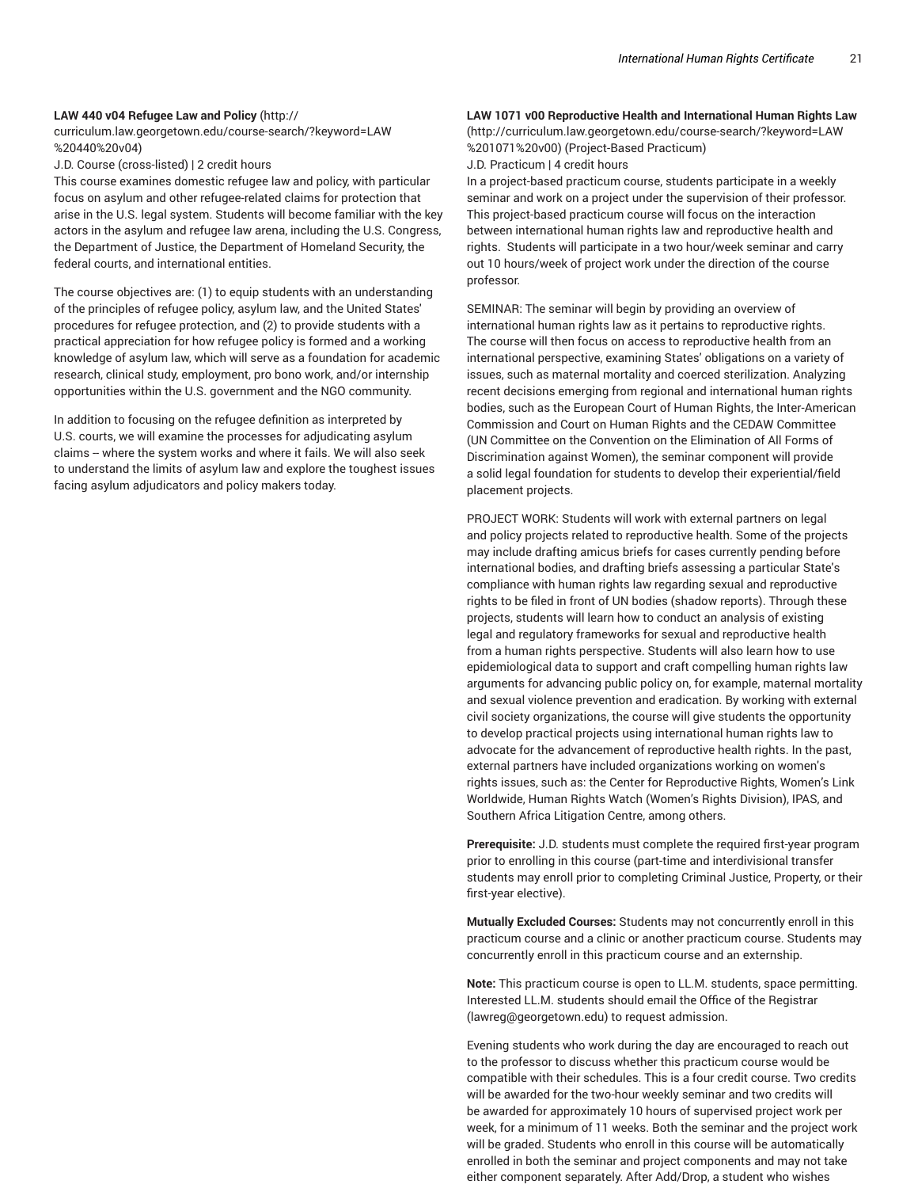#### **LAW 440 v04 Refugee Law and Policy** (http://

curriculum.law.georgetown.edu/course-search/?keyword=LAW %20440%20v04)

J.D. Course (cross-listed) | 2 credit hours

This course examines domestic refugee law and policy, with particular focus on asylum and other refugee-related claims for protection that arise in the U.S. legal system. Students will become familiar with the key actors in the asylum and refugee law arena, including the U.S. Congress, the Department of Justice, the Department of Homeland Security, the federal courts, and international entities.

The course objectives are: (1) to equip students with an understanding of the principles of refugee policy, asylum law, and the United States' procedures for refugee protection, and (2) to provide students with a practical appreciation for how refugee policy is formed and a working knowledge of asylum law, which will serve as a foundation for academic research, clinical study, employment, pro bono work, and/or internship opportunities within the U.S. government and the NGO community.

In addition to focusing on the refugee definition as interpreted by U.S. courts, we will examine the processes for adjudicating asylum claims -- where the system works and where it fails. We will also seek to understand the limits of asylum law and explore the toughest issues facing asylum adjudicators and policy makers today.

# **LAW 1071 v00 Reproductive Health and International Human Rights Law**

(http://curriculum.law.georgetown.edu/course-search/?keyword=LAW %201071%20v00) (Project-Based Practicum)

J.D. Practicum | 4 credit hours

In a project-based practicum course, students participate in a weekly seminar and work on a project under the supervision of their professor. This project-based practicum course will focus on the interaction between international human rights law and reproductive health and rights. Students will participate in a two hour/week seminar and carry out 10 hours/week of project work under the direction of the course professor.

SEMINAR: The seminar will begin by providing an overview of international human rights law as it pertains to reproductive rights. The course will then focus on access to reproductive health from an international perspective, examining States' obligations on a variety of issues, such as maternal mortality and coerced sterilization. Analyzing recent decisions emerging from regional and international human rights bodies, such as the European Court of Human Rights, the Inter-American Commission and Court on Human Rights and the CEDAW Committee (UN Committee on the Convention on the Elimination of All Forms of Discrimination against Women), the seminar component will provide a solid legal foundation for students to develop their experiential/field placement projects.

PROJECT WORK: Students will work with external partners on legal and policy projects related to reproductive health. Some of the projects may include drafting amicus briefs for cases currently pending before international bodies, and drafting briefs assessing a particular State's compliance with human rights law regarding sexual and reproductive rights to be filed in front of UN bodies (shadow reports). Through these projects, students will learn how to conduct an analysis of existing legal and regulatory frameworks for sexual and reproductive health from a human rights perspective. Students will also learn how to use epidemiological data to support and craft compelling human rights law arguments for advancing public policy on, for example, maternal mortality and sexual violence prevention and eradication. By working with external civil society organizations, the course will give students the opportunity to develop practical projects using international human rights law to advocate for the advancement of reproductive health rights. In the past, external partners have included organizations working on women's rights issues, such as: the Center for Reproductive Rights, Women's Link Worldwide, Human Rights Watch (Women's Rights Division), IPAS, and Southern Africa Litigation Centre, among others.

**Prerequisite:** J.D. students must complete the required first-year program prior to enrolling in this course (part-time and interdivisional transfer students may enroll prior to completing Criminal Justice, Property, or their first-year elective).

**Mutually Excluded Courses:** Students may not concurrently enroll in this practicum course and a clinic or another practicum course. Students may concurrently enroll in this practicum course and an externship.

**Note:** This practicum course is open to LL.M. students, space permitting. Interested LL.M. students should email the Office of the Registrar (lawreg@georgetown.edu) to request admission.

Evening students who work during the day are encouraged to reach out to the professor to discuss whether this practicum course would be compatible with their schedules. This is a four credit course. Two credits will be awarded for the two-hour weekly seminar and two credits will be awarded for approximately 10 hours of supervised project work per week, for a minimum of 11 weeks. Both the seminar and the project work will be graded. Students who enroll in this course will be automatically enrolled in both the seminar and project components and may not take either component separately. After Add/Drop, a student who wishes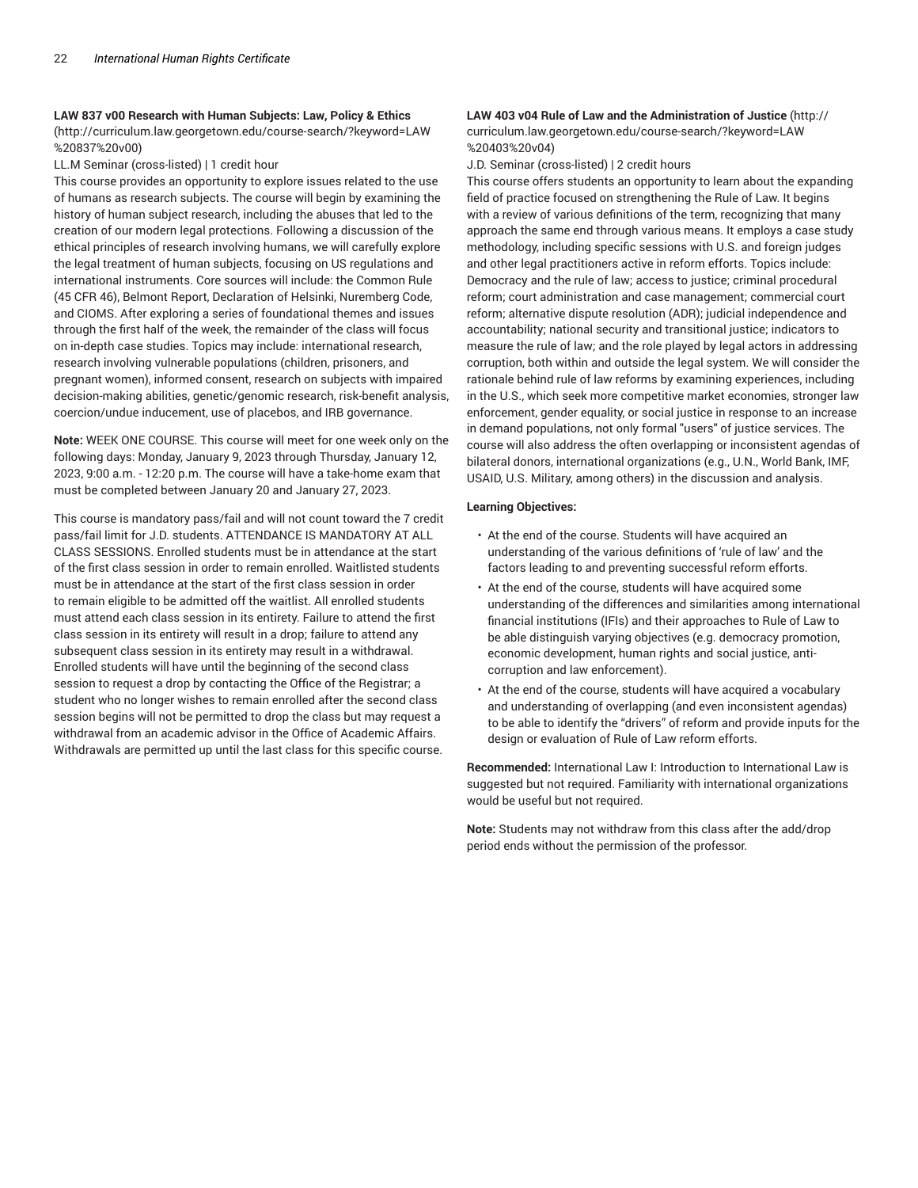#### **LAW 837 v00 Research with Human Subjects: Law, Policy & Ethics**

(http://curriculum.law.georgetown.edu/course-search/?keyword=LAW %20837%20v00)

LL.M Seminar (cross-listed) | 1 credit hour

This course provides an opportunity to explore issues related to the use of humans as research subjects. The course will begin by examining the history of human subject research, including the abuses that led to the creation of our modern legal protections. Following a discussion of the ethical principles of research involving humans, we will carefully explore the legal treatment of human subjects, focusing on US regulations and international instruments. Core sources will include: the Common Rule (45 CFR 46), Belmont Report, Declaration of Helsinki, Nuremberg Code, and CIOMS. After exploring a series of foundational themes and issues through the first half of the week, the remainder of the class will focus on in-depth case studies. Topics may include: international research, research involving vulnerable populations (children, prisoners, and pregnant women), informed consent, research on subjects with impaired decision-making abilities, genetic/genomic research, risk-benefit analysis, coercion/undue inducement, use of placebos, and IRB governance.

**Note:** WEEK ONE COURSE. This course will meet for one week only on the following days: Monday, January 9, 2023 through Thursday, January 12, 2023, 9:00 a.m. - 12:20 p.m. The course will have a take-home exam that must be completed between January 20 and January 27, 2023.

This course is mandatory pass/fail and will not count toward the 7 credit pass/fail limit for J.D. students. ATTENDANCE IS MANDATORY AT ALL CLASS SESSIONS. Enrolled students must be in attendance at the start of the first class session in order to remain enrolled. Waitlisted students must be in attendance at the start of the first class session in order to remain eligible to be admitted off the waitlist. All enrolled students must attend each class session in its entirety. Failure to attend the first class session in its entirety will result in a drop; failure to attend any subsequent class session in its entirety may result in a withdrawal. Enrolled students will have until the beginning of the second class session to request a drop by contacting the Office of the Registrar; a student who no longer wishes to remain enrolled after the second class session begins will not be permitted to drop the class but may request a withdrawal from an academic advisor in the Office of Academic Affairs. Withdrawals are permitted up until the last class for this specific course.

# **LAW 403 v04 Rule of Law and the Administration of Justice** (http://

curriculum.law.georgetown.edu/course-search/?keyword=LAW %20403%20v04)

J.D. Seminar (cross-listed) | 2 credit hours

This course offers students an opportunity to learn about the expanding field of practice focused on strengthening the Rule of Law. It begins with a review of various definitions of the term, recognizing that many approach the same end through various means. It employs a case study methodology, including specific sessions with U.S. and foreign judges and other legal practitioners active in reform efforts. Topics include: Democracy and the rule of law; access to justice; criminal procedural reform; court administration and case management; commercial court reform; alternative dispute resolution (ADR); judicial independence and accountability; national security and transitional justice; indicators to measure the rule of law; and the role played by legal actors in addressing corruption, both within and outside the legal system. We will consider the rationale behind rule of law reforms by examining experiences, including in the U.S., which seek more competitive market economies, stronger law enforcement, gender equality, or social justice in response to an increase in demand populations, not only formal "users" of justice services. The course will also address the often overlapping or inconsistent agendas of bilateral donors, international organizations (e.g., U.N., World Bank, IMF, USAID, U.S. Military, among others) in the discussion and analysis.

#### **Learning Objectives:**

- At the end of the course. Students will have acquired an understanding of the various definitions of 'rule of law' and the factors leading to and preventing successful reform efforts.
- At the end of the course, students will have acquired some understanding of the differences and similarities among international financial institutions (IFIs) and their approaches to Rule of Law to be able distinguish varying objectives (e.g. democracy promotion, economic development, human rights and social justice, anticorruption and law enforcement).
- At the end of the course, students will have acquired a vocabulary and understanding of overlapping (and even inconsistent agendas) to be able to identify the "drivers" of reform and provide inputs for the design or evaluation of Rule of Law reform efforts.

**Recommended:** International Law I: Introduction to International Law is suggested but not required. Familiarity with international organizations would be useful but not required.

**Note:** Students may not withdraw from this class after the add/drop period ends without the permission of the professor.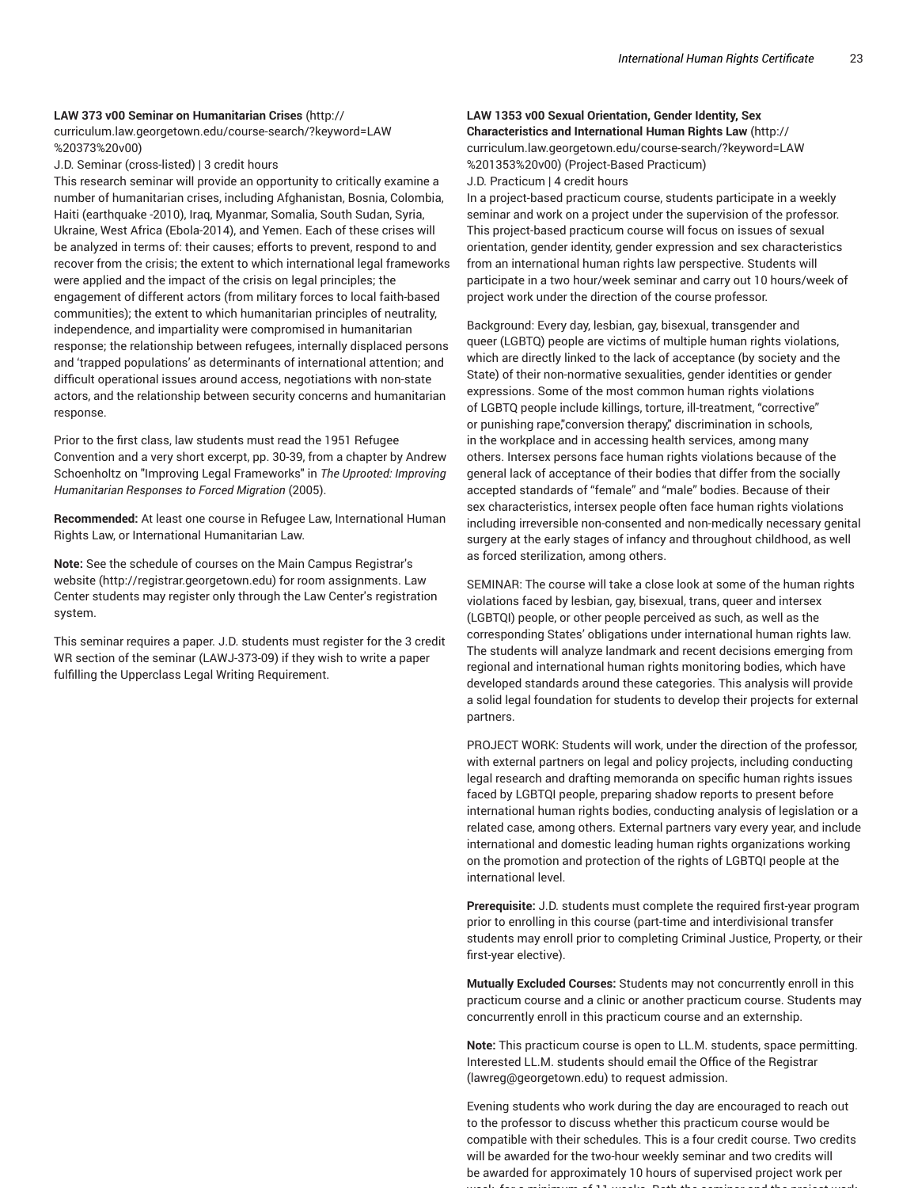# **LAW 373 v00 Seminar on Humanitarian Crises** (http:// curriculum.law.georgetown.edu/course-search/?keyword=LAW %20373%20v00)

J.D. Seminar (cross-listed) | 3 credit hours

This research seminar will provide an opportunity to critically examine a number of humanitarian crises, including Afghanistan, Bosnia, Colombia, Haiti (earthquake -2010), Iraq, Myanmar, Somalia, South Sudan, Syria, Ukraine, West Africa (Ebola-2014), and Yemen. Each of these crises will be analyzed in terms of: their causes; efforts to prevent, respond to and recover from the crisis; the extent to which international legal frameworks were applied and the impact of the crisis on legal principles; the engagement of different actors (from military forces to local faith-based communities); the extent to which humanitarian principles of neutrality, independence, and impartiality were compromised in humanitarian response; the relationship between refugees, internally displaced persons and 'trapped populations' as determinants of international attention; and difficult operational issues around access, negotiations with non-state actors, and the relationship between security concerns and humanitarian response.

Prior to the first class, law students must read the 1951 Refugee Convention and a very short excerpt, pp. 30-39, from a chapter by Andrew Schoenholtz on "Improving Legal Frameworks" in *The Uprooted: Improving Humanitarian Responses to Forced Migration* (2005).

**Recommended:** At least one course in Refugee Law, International Human Rights Law, or International Humanitarian Law.

**Note:** See the schedule of courses on the Main Campus Registrar's website (http://registrar.georgetown.edu) for room assignments. Law Center students may register only through the Law Center's registration system.

This seminar requires a paper. J.D. students must register for the 3 credit WR section of the seminar (LAWJ-373-09) if they wish to write a paper fulfilling the Upperclass Legal Writing Requirement.

# **LAW 1353 v00 Sexual Orientation, Gender Identity, Sex Characteristics and International Human Rights Law** (http:// curriculum.law.georgetown.edu/course-search/?keyword=LAW

%201353%20v00) (Project-Based Practicum) J.D. Practicum | 4 credit hours

In a project-based practicum course, students participate in a weekly seminar and work on a project under the supervision of the professor. This project-based practicum course will focus on issues of sexual orientation, gender identity, gender expression and sex characteristics from an international human rights law perspective. Students will participate in a two hour/week seminar and carry out 10 hours/week of project work under the direction of the course professor.

Background: Every day, lesbian, gay, bisexual, transgender and queer (LGBTQ) people are victims of multiple human rights violations, which are directly linked to the lack of acceptance (by society and the State) of their non-normative sexualities, gender identities or gender expressions. Some of the most common human rights violations of LGBTQ people include killings, torture, ill-treatment, "corrective" or punishing rape,"conversion therapy," discrimination in schools, in the workplace and in accessing health services, among many others. Intersex persons face human rights violations because of the general lack of acceptance of their bodies that differ from the socially accepted standards of "female" and "male" bodies. Because of their sex characteristics, intersex people often face human rights violations including irreversible non-consented and non-medically necessary genital surgery at the early stages of infancy and throughout childhood, as well as forced sterilization, among others.

SEMINAR: The course will take a close look at some of the human rights violations faced by lesbian, gay, bisexual, trans, queer and intersex (LGBTQI) people, or other people perceived as such, as well as the corresponding States' obligations under international human rights law. The students will analyze landmark and recent decisions emerging from regional and international human rights monitoring bodies, which have developed standards around these categories. This analysis will provide a solid legal foundation for students to develop their projects for external partners.

PROJECT WORK: Students will work, under the direction of the professor, with external partners on legal and policy projects, including conducting legal research and drafting memoranda on specific human rights issues faced by LGBTQI people, preparing shadow reports to present before international human rights bodies, conducting analysis of legislation or a related case, among others. External partners vary every year, and include international and domestic leading human rights organizations working on the promotion and protection of the rights of LGBTQI people at the international level.

**Prerequisite:** J.D. students must complete the required first-year program prior to enrolling in this course (part-time and interdivisional transfer students may enroll prior to completing Criminal Justice, Property, or their first-year elective).

**Mutually Excluded Courses:** Students may not concurrently enroll in this practicum course and a clinic or another practicum course. Students may concurrently enroll in this practicum course and an externship.

**Note:** This practicum course is open to LL.M. students, space permitting. Interested LL.M. students should email the Office of the Registrar (lawreg@georgetown.edu) to request admission.

Evening students who work during the day are encouraged to reach out to the professor to discuss whether this practicum course would be compatible with their schedules. This is a four credit course. Two credits will be awarded for the two-hour weekly seminar and two credits will be awarded for approximately 10 hours of supervised project work per week, for a minimum of 11 weeks. Both the seminar and the project work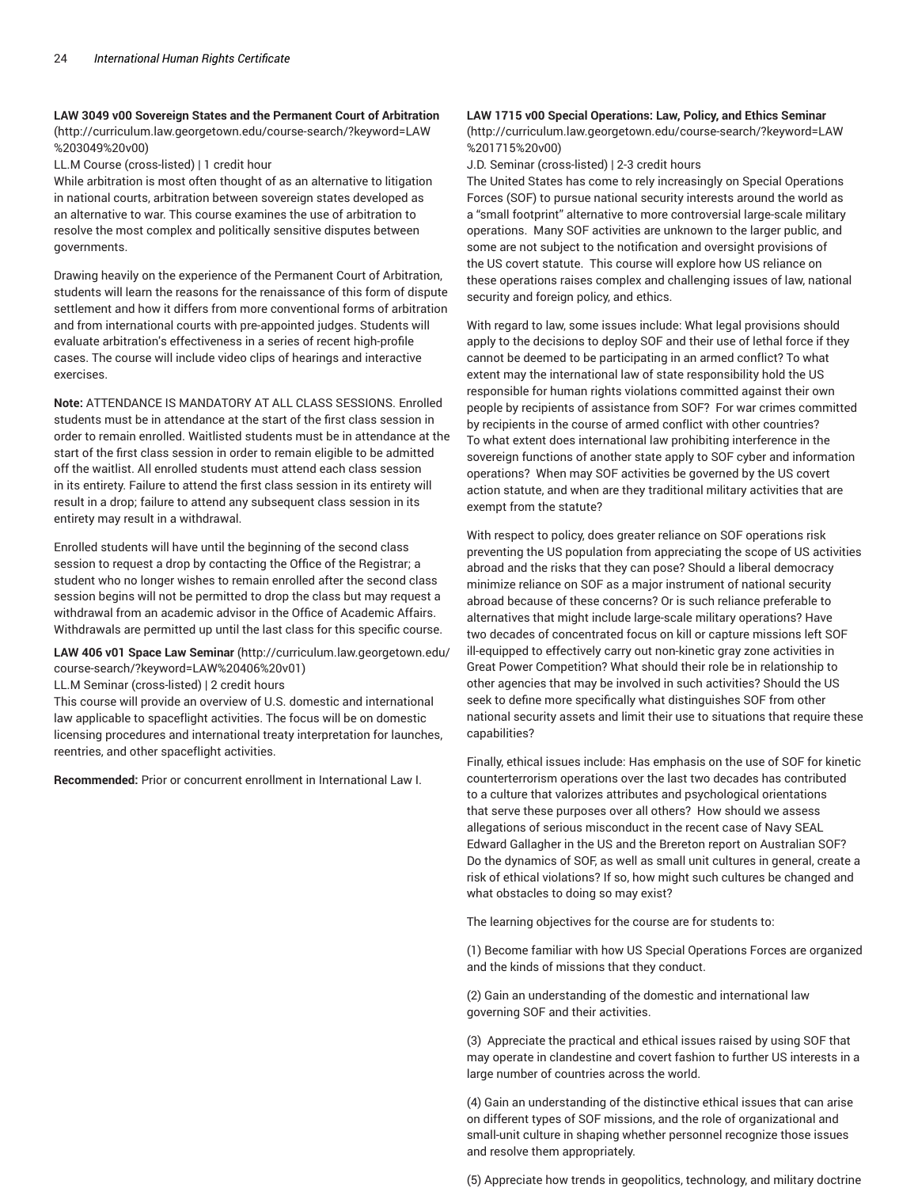# **LAW 3049 v00 Sovereign States and the Permanent Court of Arbitration**

(http://curriculum.law.georgetown.edu/course-search/?keyword=LAW %203049%20v00)

LL.M Course (cross-listed) | 1 credit hour

While arbitration is most often thought of as an alternative to litigation in national courts, arbitration between sovereign states developed as an alternative to war. This course examines the use of arbitration to resolve the most complex and politically sensitive disputes between governments.

Drawing heavily on the experience of the Permanent Court of Arbitration, students will learn the reasons for the renaissance of this form of dispute settlement and how it differs from more conventional forms of arbitration and from international courts with pre-appointed judges. Students will evaluate arbitration's effectiveness in a series of recent high-profile cases. The course will include video clips of hearings and interactive exercises.

**Note:** ATTENDANCE IS MANDATORY AT ALL CLASS SESSIONS. Enrolled students must be in attendance at the start of the first class session in order to remain enrolled. Waitlisted students must be in attendance at the start of the first class session in order to remain eligible to be admitted off the waitlist. All enrolled students must attend each class session in its entirety. Failure to attend the first class session in its entirety will result in a drop; failure to attend any subsequent class session in its entirety may result in a withdrawal.

Enrolled students will have until the beginning of the second class session to request a drop by contacting the Office of the Registrar; a student who no longer wishes to remain enrolled after the second class session begins will not be permitted to drop the class but may request a withdrawal from an academic advisor in the Office of Academic Affairs. Withdrawals are permitted up until the last class for this specific course.

**LAW 406 v01 Space Law Seminar** (http://curriculum.law.georgetown.edu/ course-search/?keyword=LAW%20406%20v01)

LL.M Seminar (cross-listed) | 2 credit hours

This course will provide an overview of U.S. domestic and international law applicable to spaceflight activities. The focus will be on domestic licensing procedures and international treaty interpretation for launches, reentries, and other spaceflight activities.

**Recommended:** Prior or concurrent enrollment in International Law I.

#### **LAW 1715 v00 Special Operations: Law, Policy, and Ethics Seminar**

(http://curriculum.law.georgetown.edu/course-search/?keyword=LAW %201715%20v00)

J.D. Seminar (cross-listed) | 2-3 credit hours

The United States has come to rely increasingly on Special Operations Forces (SOF) to pursue national security interests around the world as a "small footprint" alternative to more controversial large-scale military operations. Many SOF activities are unknown to the larger public, and some are not subject to the notification and oversight provisions of the US covert statute. This course will explore how US reliance on these operations raises complex and challenging issues of law, national security and foreign policy, and ethics.

With regard to law, some issues include: What legal provisions should apply to the decisions to deploy SOF and their use of lethal force if they cannot be deemed to be participating in an armed conflict? To what extent may the international law of state responsibility hold the US responsible for human rights violations committed against their own people by recipients of assistance from SOF? For war crimes committed by recipients in the course of armed conflict with other countries? To what extent does international law prohibiting interference in the sovereign functions of another state apply to SOF cyber and information operations? When may SOF activities be governed by the US covert action statute, and when are they traditional military activities that are exempt from the statute?

With respect to policy, does greater reliance on SOF operations risk preventing the US population from appreciating the scope of US activities abroad and the risks that they can pose? Should a liberal democracy minimize reliance on SOF as a major instrument of national security abroad because of these concerns? Or is such reliance preferable to alternatives that might include large-scale military operations? Have two decades of concentrated focus on kill or capture missions left SOF ill-equipped to effectively carry out non-kinetic gray zone activities in Great Power Competition? What should their role be in relationship to other agencies that may be involved in such activities? Should the US seek to define more specifically what distinguishes SOF from other national security assets and limit their use to situations that require these capabilities?

Finally, ethical issues include: Has emphasis on the use of SOF for kinetic counterterrorism operations over the last two decades has contributed to a culture that valorizes attributes and psychological orientations that serve these purposes over all others? How should we assess allegations of serious misconduct in the recent case of Navy SEAL Edward Gallagher in the US and the Brereton report on Australian SOF? Do the dynamics of SOF, as well as small unit cultures in general, create a risk of ethical violations? If so, how might such cultures be changed and what obstacles to doing so may exist?

The learning objectives for the course are for students to:

(1) Become familiar with how US Special Operations Forces are organized and the kinds of missions that they conduct.

(2) Gain an understanding of the domestic and international law governing SOF and their activities.

(3) Appreciate the practical and ethical issues raised by using SOF that may operate in clandestine and covert fashion to further US interests in a large number of countries across the world.

(4) Gain an understanding of the distinctive ethical issues that can arise on different types of SOF missions, and the role of organizational and small-unit culture in shaping whether personnel recognize those issues and resolve them appropriately.

(5) Appreciate how trends in geopolitics, technology, and military doctrine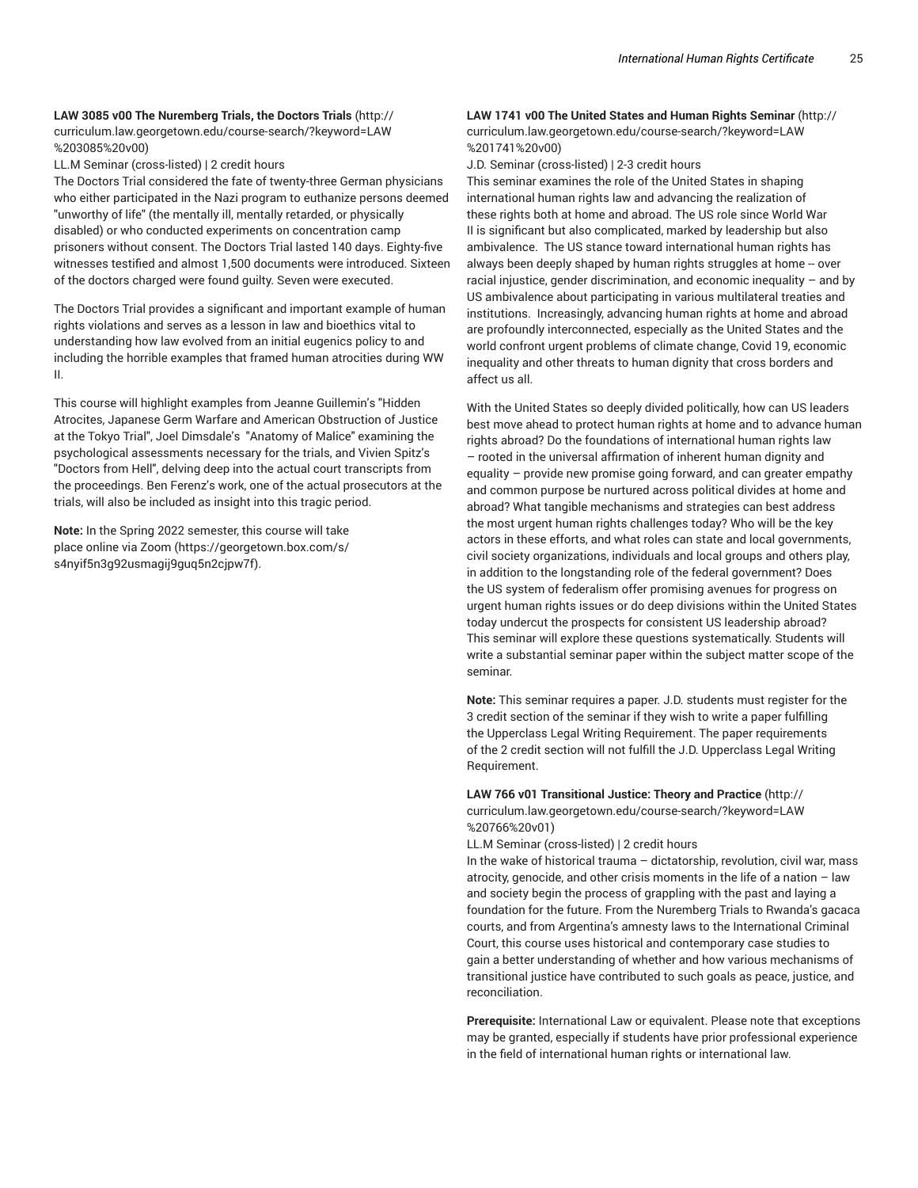# **LAW 3085 v00 The Nuremberg Trials, the Doctors Trials** (http:// curriculum.law.georgetown.edu/course-search/?keyword=LAW

%203085%20v00)

LL.M Seminar (cross-listed) | 2 credit hours

The Doctors Trial considered the fate of twenty-three German physicians who either participated in the Nazi program to euthanize persons deemed "unworthy of life" (the mentally ill, mentally retarded, or physically disabled) or who conducted experiments on concentration camp prisoners without consent. The Doctors Trial lasted 140 days. Eighty-five witnesses testified and almost 1,500 documents were introduced. Sixteen of the doctors charged were found guilty. Seven were executed.

The Doctors Trial provides a significant and important example of human rights violations and serves as a lesson in law and bioethics vital to understanding how law evolved from an initial eugenics policy to and including the horrible examples that framed human atrocities during WW II.

This course will highlight examples from Jeanne Guillemin's "Hidden Atrocites, Japanese Germ Warfare and American Obstruction of Justice at the Tokyo Trial", Joel Dimsdale's "Anatomy of Malice" examining the psychological assessments necessary for the trials, and Vivien Spitz's "Doctors from Hell", delving deep into the actual court transcripts from the proceedings. Ben Ferenz's work, one of the actual prosecutors at the trials, will also be included as insight into this tragic period.

**Note:** In the Spring 2022 semester, this course will take place online via Zoom (https://georgetown.box.com/s/ s4nyif5n3g92usmagij9guq5n2cjpw7f).

# **LAW 1741 v00 The United States and Human Rights Seminar** (http:// curriculum.law.georgetown.edu/course-search/?keyword=LAW %201741%20v00)

J.D. Seminar (cross-listed) | 2-3 credit hours

This seminar examines the role of the United States in shaping international human rights law and advancing the realization of these rights both at home and abroad. The US role since World War II is significant but also complicated, marked by leadership but also ambivalence. The US stance toward international human rights has always been deeply shaped by human rights struggles at home -- over racial injustice, gender discrimination, and economic inequality – and by US ambivalence about participating in various multilateral treaties and institutions. Increasingly, advancing human rights at home and abroad are profoundly interconnected, especially as the United States and the world confront urgent problems of climate change, Covid 19, economic inequality and other threats to human dignity that cross borders and affect us all.

With the United States so deeply divided politically, how can US leaders best move ahead to protect human rights at home and to advance human rights abroad? Do the foundations of international human rights law – rooted in the universal affirmation of inherent human dignity and equality – provide new promise going forward, and can greater empathy and common purpose be nurtured across political divides at home and abroad? What tangible mechanisms and strategies can best address the most urgent human rights challenges today? Who will be the key actors in these efforts, and what roles can state and local governments, civil society organizations, individuals and local groups and others play, in addition to the longstanding role of the federal government? Does the US system of federalism offer promising avenues for progress on urgent human rights issues or do deep divisions within the United States today undercut the prospects for consistent US leadership abroad? This seminar will explore these questions systematically. Students will write a substantial seminar paper within the subject matter scope of the seminar.

**Note:** This seminar requires a paper. J.D. students must register for the 3 credit section of the seminar if they wish to write a paper fulfilling the Upperclass Legal Writing Requirement. The paper requirements of the 2 credit section will not fulfill the J.D. Upperclass Legal Writing Requirement.

**LAW 766 v01 Transitional Justice: Theory and Practice** (http:// curriculum.law.georgetown.edu/course-search/?keyword=LAW %20766%20v01)

LL.M Seminar (cross-listed) | 2 credit hours

In the wake of historical trauma – dictatorship, revolution, civil war, mass atrocity, genocide, and other crisis moments in the life of a nation  $-$  law and society begin the process of grappling with the past and laying a foundation for the future. From the Nuremberg Trials to Rwanda's gacaca courts, and from Argentina's amnesty laws to the International Criminal Court, this course uses historical and contemporary case studies to gain a better understanding of whether and how various mechanisms of transitional justice have contributed to such goals as peace, justice, and reconciliation.

**Prerequisite:** International Law or equivalent. Please note that exceptions may be granted, especially if students have prior professional experience in the field of international human rights or international law.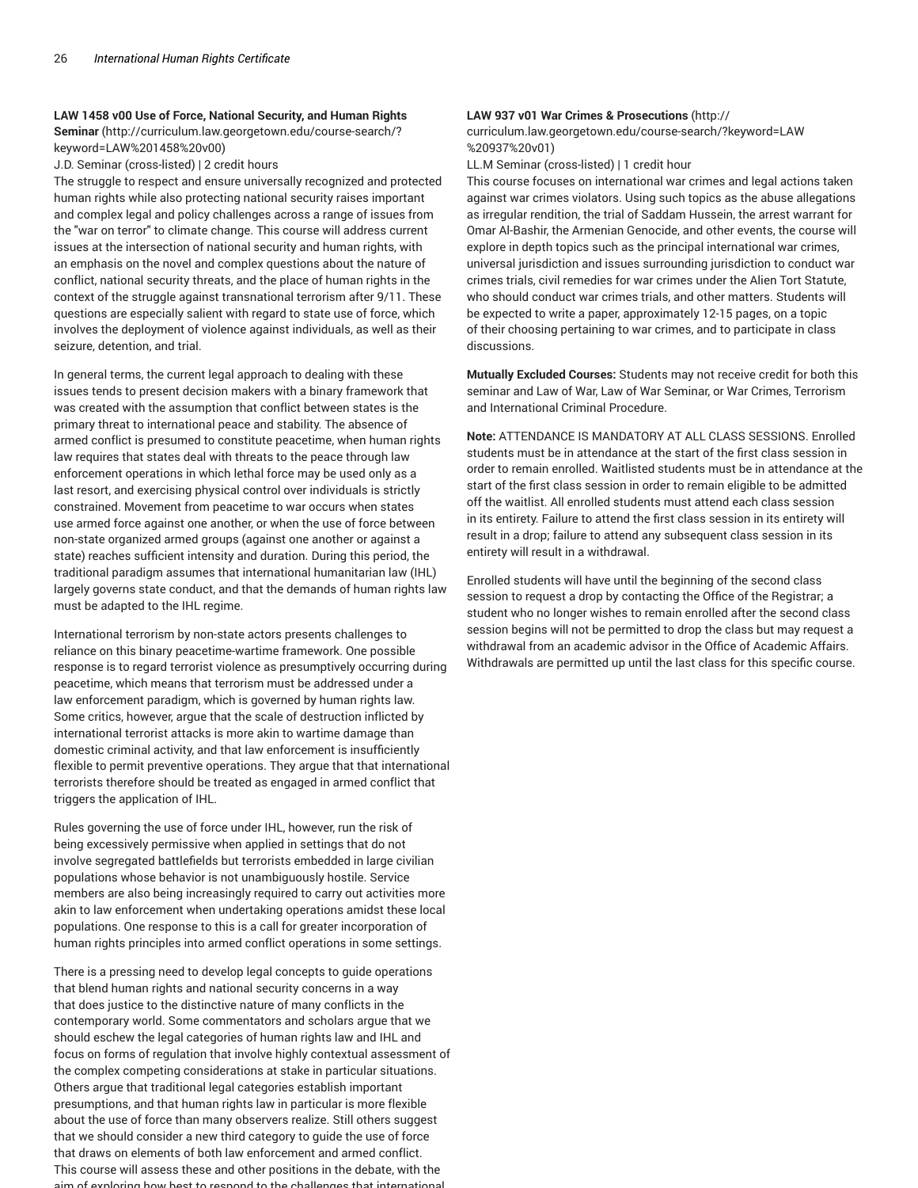#### **LAW 1458 v00 Use of Force, National Security, and Human Rights**

**Seminar** (http://curriculum.law.georgetown.edu/course-search/? keyword=LAW%201458%20v00)

J.D. Seminar (cross-listed) | 2 credit hours

The struggle to respect and ensure universally recognized and protected human rights while also protecting national security raises important and complex legal and policy challenges across a range of issues from the "war on terror" to climate change. This course will address current issues at the intersection of national security and human rights, with an emphasis on the novel and complex questions about the nature of conflict, national security threats, and the place of human rights in the context of the struggle against transnational terrorism after 9/11. These questions are especially salient with regard to state use of force, which involves the deployment of violence against individuals, as well as their seizure, detention, and trial.

In general terms, the current legal approach to dealing with these issues tends to present decision makers with a binary framework that was created with the assumption that conflict between states is the primary threat to international peace and stability. The absence of armed conflict is presumed to constitute peacetime, when human rights law requires that states deal with threats to the peace through law enforcement operations in which lethal force may be used only as a last resort, and exercising physical control over individuals is strictly constrained. Movement from peacetime to war occurs when states use armed force against one another, or when the use of force between non-state organized armed groups (against one another or against a state) reaches sufficient intensity and duration. During this period, the traditional paradigm assumes that international humanitarian law (IHL) largely governs state conduct, and that the demands of human rights law must be adapted to the IHL regime.

International terrorism by non-state actors presents challenges to reliance on this binary peacetime-wartime framework. One possible response is to regard terrorist violence as presumptively occurring during peacetime, which means that terrorism must be addressed under a law enforcement paradigm, which is governed by human rights law. Some critics, however, argue that the scale of destruction inflicted by international terrorist attacks is more akin to wartime damage than domestic criminal activity, and that law enforcement is insufficiently flexible to permit preventive operations. They argue that that international terrorists therefore should be treated as engaged in armed conflict that triggers the application of IHL.

Rules governing the use of force under IHL, however, run the risk of being excessively permissive when applied in settings that do not involve segregated battlefields but terrorists embedded in large civilian populations whose behavior is not unambiguously hostile. Service members are also being increasingly required to carry out activities more akin to law enforcement when undertaking operations amidst these local populations. One response to this is a call for greater incorporation of human rights principles into armed conflict operations in some settings.

There is a pressing need to develop legal concepts to guide operations that blend human rights and national security concerns in a way that does justice to the distinctive nature of many conflicts in the contemporary world. Some commentators and scholars argue that we should eschew the legal categories of human rights law and IHL and focus on forms of regulation that involve highly contextual assessment of the complex competing considerations at stake in particular situations. Others argue that traditional legal categories establish important presumptions, and that human rights law in particular is more flexible about the use of force than many observers realize. Still others suggest that we should consider a new third category to guide the use of force that draws on elements of both law enforcement and armed conflict. This course will assess these and other positions in the debate, with the aim of exploring how best to respond to the challenges that international

#### **LAW 937 v01 War Crimes & Prosecutions** (http://

curriculum.law.georgetown.edu/course-search/?keyword=LAW %20937%20v01)

LL.M Seminar (cross-listed) | 1 credit hour

This course focuses on international war crimes and legal actions taken against war crimes violators. Using such topics as the abuse allegations as irregular rendition, the trial of Saddam Hussein, the arrest warrant for Omar Al-Bashir, the Armenian Genocide, and other events, the course will explore in depth topics such as the principal international war crimes, universal jurisdiction and issues surrounding jurisdiction to conduct war crimes trials, civil remedies for war crimes under the Alien Tort Statute, who should conduct war crimes trials, and other matters. Students will be expected to write a paper, approximately 12-15 pages, on a topic of their choosing pertaining to war crimes, and to participate in class discussions.

**Mutually Excluded Courses:** Students may not receive credit for both this seminar and Law of War, Law of War Seminar, or War Crimes, Terrorism and International Criminal Procedure.

**Note:** ATTENDANCE IS MANDATORY AT ALL CLASS SESSIONS. Enrolled students must be in attendance at the start of the first class session in order to remain enrolled. Waitlisted students must be in attendance at the start of the first class session in order to remain eligible to be admitted off the waitlist. All enrolled students must attend each class session in its entirety. Failure to attend the first class session in its entirety will result in a drop; failure to attend any subsequent class session in its entirety will result in a withdrawal.

Enrolled students will have until the beginning of the second class session to request a drop by contacting the Office of the Registrar; a student who no longer wishes to remain enrolled after the second class session begins will not be permitted to drop the class but may request a withdrawal from an academic advisor in the Office of Academic Affairs. Withdrawals are permitted up until the last class for this specific course.